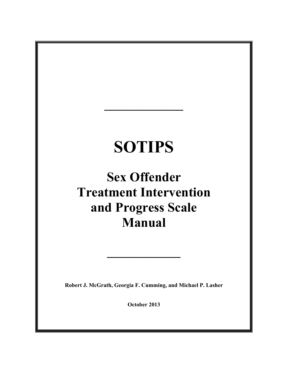# **SOTIPS**

**\_\_\_\_\_\_\_\_\_\_\_\_\_\_**

# **Sex Offender Treatment Intervention and Progress Scale Manual**

**Robert J. McGrath, Georgia F. Cumming, and Michael P. Lasher**

**\_\_\_\_\_\_\_\_\_\_\_\_\_**

**October 2013**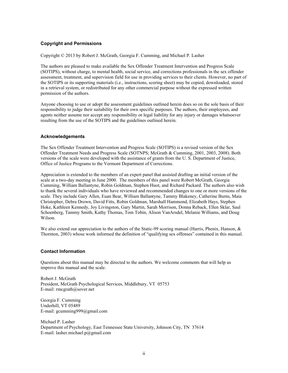# **Copyright and Permissions**

Copyright © 2013 by Robert J. McGrath, Georgia F. Cumming, and Michael P. Lasher

The authors are pleased to make available the Sex Offender Treatment Intervention and Progress Scale (SOTIPS), without charge, to mental health, social service, and corrections professionals in the sex offender assessment, treatment, and supervision field for use in providing services to their clients. However, no part of the SOTIPS or its supporting materials (i.e., instructions, scoring sheet) may be copied, downloaded, stored in a retrieval system, or redistributed for any other commercial purpose without the expressed written permission of the authors.

Anyone choosing to use or adopt the assessment guidelines outlined herein does so on the sole basis of their responsibility to judge their suitability for their own specific purposes. The authors, their employees, and agents neither assume nor accept any responsibility or legal liability for any injury or damages whatsoever resulting from the use of the SOTIPS and the guidelines outlined herein.

# **Acknowledgements**

The Sex Offender Treatment Intervention and Progress Scale (SOTIPS) is a revised version of the Sex Offender Treatment Needs and Progress Scale (SOTNPS; McGrath & Cumming, 2001, 2003, 2008). Both versions of the scale were developed with the assistance of grants from the U. S. Department of Justice, Office of Justice Programs to the Vermont Department of Corrections.

Appreciation is extended to the members of an expert panel that assisted drafting an initial version of the scale at a two-day meeting in June 2000. The members of this panel were Robert McGrath, Georgia Cumming, William Ballantyne, Robin Goldman, Stephen Huot, and Richard Packard. The authors also wish to thank the several individuals who have reviewed and recommended changes to one or more versions of the scale. They include Gary Allen, Euan Bear, William Ballantyne, Tammy Blakeney, Catherine Burns, Maia Christopher, Debra Drown, David Fitts, Robin Goldman, Marshall Hammond, Elizabeth Hays, Stephen Hoke, Kathleen Kennedy, Joy Livingston, Gary Martin, Sarah Morrison, Donna Reback, Ellen Sklar, Saul Schoenberg, Tammy Smith, Kathy Thomas, Tom Tobin, Alison VanArsdel, Melanie Williams, and Doug Wilson.

We also extend our appreciation to the authors of the Static-99 scoring manual (Harris, Phenix, Hanson, & Thornton, 2003) whose work informed the definition of "qualifying sex offenses" contained in this manual.

# **Contact Information**

Questions about this manual may be directed to the authors. We welcome comments that will help us improve this manual and the scale.

Robert J. McGrath President, McGrath Psychological Services, Middlebury, VT 05753 E-mail: rmcgrath@sover.net

Georgia F. Cumming Underhill, VT 05489 E-mail: gcumming999@gmail.com

Michael P. Lasher Department of Psychology, East Tennessee State University, Johnson City, TN 37614 E-mail: lasher.michael.p@gmail.com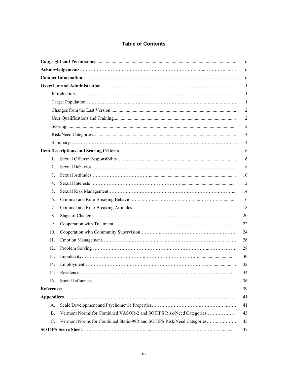# **Table of Contents**

|             |                                                                       | $\overline{\mathbf{u}}$  |
|-------------|-----------------------------------------------------------------------|--------------------------|
|             |                                                                       | $\overline{\textbf{ii}}$ |
|             |                                                                       | $\overline{\mathbf{u}}$  |
|             |                                                                       | $\mathbf{1}$             |
|             |                                                                       | 1                        |
|             |                                                                       | $\mathbf{1}$             |
|             |                                                                       | $\overline{2}$           |
|             |                                                                       | $\overline{2}$           |
|             |                                                                       | $\overline{2}$           |
|             |                                                                       | 3                        |
|             |                                                                       | $\overline{4}$           |
|             |                                                                       | 6                        |
| $1_{-}$     |                                                                       | 6                        |
| $2_{-}$     |                                                                       | 8                        |
| $3_{-}$     |                                                                       | 10                       |
| 4.          |                                                                       | 12                       |
| 5.          |                                                                       | 14                       |
| 6.          |                                                                       | 16                       |
| 7.          |                                                                       | 18                       |
| 8.          |                                                                       | 20                       |
| 9.          |                                                                       | 22                       |
| 10.         |                                                                       | 24                       |
| 11.         |                                                                       | 26                       |
| 12.         |                                                                       | 28                       |
| 13.         |                                                                       | 30                       |
| 14.         |                                                                       | 32                       |
| 15.         |                                                                       | 34                       |
| 16.         |                                                                       | 36                       |
|             |                                                                       | 39                       |
|             |                                                                       | 41                       |
| А.          |                                                                       | 41                       |
| B.          | Vermont Norms for Combined VASOR-2 and SOTIPS Risk/Need Categories    | 43                       |
| $C_{\cdot}$ | Vermont Norms for Combined Static-99R and SOTIPS Risk/Need Categories | 45                       |
|             |                                                                       | 47                       |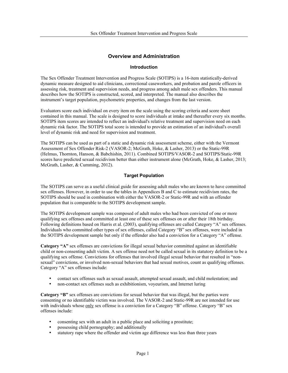# **Overview and Administration**

# **Introduction**

The Sex Offender Treatment Intervention and Progress Scale (SOTIPS) is a 16-item statistically-derived dynamic measure designed to aid clinicians, correctional caseworkers, and probation and parole officers in assessing risk, treatment and supervision needs, and progress among adult male sex offenders. This manual describes how the SOTIPS is constructed, scored, and interpreted. The manual also describes the instrument's target population, psychometric properties, and changes from the last version.

Evaluators score each individual on every item on the scale using the scoring criteria and score sheet contained in this manual. The scale is designed to score individuals at intake and thereafter every six months. SOTIPS item scores are intended to reflect an individual's relative treatment and supervision need on each dynamic risk factor. The SOTIPS total score is intended to provide an estimation of an individual's overall level of dynamic risk and need for supervision and treatment.

The SOTIPS can be used as part of a static and dynamic risk assessment scheme, either with the Vermont Assessment of Sex Offender Risk-2 (VASOR-2; McGrath, Hoke, & Lasher, 2013) or the Static-99R (Helmus, Thornton, Hanson, & Babchishin, 2011). Combined SOTIPS/VASOR-2 and SOTIPS/Static-99R scores have predicted sexual recidivism better than either instrument alone (McGrath, Hoke, & Lasher, 2013; McGrath, Lasher, & Cumming, 2012).

# **Target Population**

The SOTIPS can serve as a useful clinical guide for assessing adult males who are known to have committed sex offenses. However, in order to use the tables in Appendices B and C to estimate recidivism rates, the SOTIPS should be used in combination with either the VASOR-2 or Static-99R and with an offender population that is comparable to the SOTIPS development sample.

The SOTIPS development sample was composed of adult males who had been convicted of one or more qualifying sex offenses and committed at least one of these sex offenses on or after their 18th birthday. Following definitions based on Harris et al. (2003), qualifying offenses are called Category "A" sex offenses. Individuals who committed other types of sex offenses, called Category "B" sex offenses, were included in the SOTIPS development sample but only if the offender also had a conviction for a Category "A" offense.

**Category "A"** sex offenses are convictions for illegal sexual behavior committed against an identifiable child or non-consenting adult victim. A sex offense need not be called sexual in its statutory definition to be a qualifying sex offense. Convictions for offenses that involved illegal sexual behavior that resulted in "nonsexual" convictions, or involved non-sexual behaviors that had sexual motives, count as qualifying offenses. Category "A" sex offenses include:

- contact sex offenses such as sexual assault, attempted sexual assault, and child molestation; and
- non-contact sex offenses such as exhibitionism, voyeurism, and Internet luring

Category "B" sex offenses are convictions for sexual behavior that was illegal, but the parties were consenting or no identifiable victim was involved. The VASOR-2 and Static-99R are not intended for use with individuals whose only sex offense is a conviction for a Category "B" offense. Category "B" sex offenses include:

- consenting sex with an adult in a public place and soliciting a prostitute;
- possessing child pornography; and additionally
- statutory rape where the offender and victim age difference was less than three years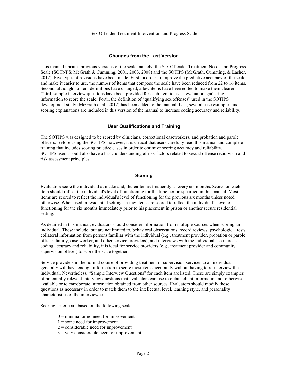#### **Changes from the Last Version**

This manual updates previous versions of the scale, namely, the Sex Offender Treatment Needs and Progress Scale (SOTNPS; McGrath & Cumming, 2001, 2003, 2008) and the SOTIPS (McGrath, Cumming, & Lasher, 2012). Five types of revisions have been made. First, in order to improve the predictive accuracy of the scale and make it easier to use, the number of items that compose the scale have been reduced from 22 to 16 items. Second, although no item definitions have changed, a few items have been edited to make them clearer. Third, sample interview questions have been provided for each item to assist evaluators gathering information to score the scale. Forth, the definition of "qualifying sex offenses" used in the SOTIPS development study (McGrath et al., 2012) has been added to the manual. Last, several case examples and scoring explanations are included in this version of the manual to increase coding accuracy and reliability.

#### **User Qualifications and Training**

The SOTIPS was designed to be scored by clinicians, correctional caseworkers, and probation and parole officers. Before using the SOTIPS, however, it is critical that users carefully read this manual and complete training that includes scoring practice cases in order to optimize scoring accuracy and reliability. SOTIPS users should also have a basic understanding of risk factors related to sexual offense recidivism and risk assessment principles.

# **Scoring**

Evaluators score the individual at intake and, thereafter, as frequently as every six months. Scores on each item should reflect the individual's level of functioning for the time period specified in this manual. Most items are scored to reflect the individual's level of functioning for the previous six months unless noted otherwise. When used in residential settings, a few items are scored to reflect the individual's level of functioning for the six months immediately prior to his placement in prison or another secure residential setting.

As detailed in this manual, evaluators should consider information from multiple sources when scoring an individual. These include, but are not limited to, behavioral observations, record reviews, psychological tests, collateral information from persons familiar with the individual (e.g., treatment provider, probation or parole officer, family, case worker, and other service providers), and interviews with the individual. To increase coding accuracy and reliability, it is ideal for service providers (e.g., treatment provider and community supervision officer) to score the scale together.

Service providers in the normal course of providing treatment or supervision services to an individual generally will have enough information to score most items accurately without having to re-interview the individual. Nevertheless, "Sample Interview Questions" for each item are listed. These are simply examples of potentially relevant interview questions that evaluators can use to obtain client information not otherwise available or to corroborate information obtained from other sources. Evaluators should modify these questions as necessary in order to match them to the intellectual level, learning style, and personality characteristics of the interviewee.

Scoring criteria are based on the following scale:

- $0 =$  minimal or no need for improvement
- $1 =$ some need for improvement
- $2 =$ considerable need for improvement
- $3$  = very considerable need for improvement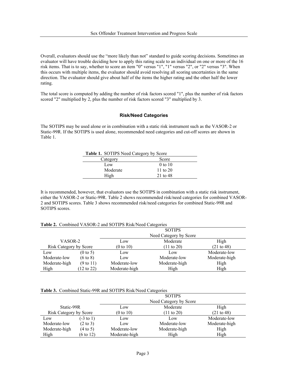Overall, evaluators should use the "more likely than not" standard to guide scoring decisions. Sometimes an evaluator will have trouble deciding how to apply this rating scale to an individual on one or more of the 16 risk items. That is to say, whether to score an item "0" versus "1", "1" versus "2", or "2" versus "3". When this occurs with multiple items, the evaluator should avoid resolving all scoring uncertainties in the same direction. The evaluator should give about half of the items the higher rating and the other half the lower rating.

The total score is computed by adding the number of risk factors scored "1", plus the number of risk factors scored "2" multiplied by 2, plus the number of risk factors scored "3" multiplied by 3.

#### **Risk/Need Categories**

The SOTIPS may be used alone or in combination with a static risk instrument such as the VASOR-2 or Static-99R. If the SOTIPS is used alone, recommended need categories and cut-off scores are shown in Table 1.

| <b>Table 1. SOTIPS Need Category by Score</b> |            |  |
|-----------------------------------------------|------------|--|
| Category                                      | Score      |  |
| Low                                           | 0 to 10    |  |
| Moderate                                      | 11 to $20$ |  |
| High                                          | 21 to 48   |  |

It is recommended, however, that evaluators use the SOTIPS in combination with a static risk instrument, either the VASOR-2 or Static-99R. Table 2 shows recommended risk/need categories for combined VASOR-2 and SOTIPS scores. Table 3 shows recommended risk/need categories for combined Static-99R and SOTIPS scores.

| <b>Table 2.</b> Combined VASOR-2 and SOTIPS Risk/Need Categories |                        |  |  |
|------------------------------------------------------------------|------------------------|--|--|
|                                                                  | <b>SOTIPS</b>          |  |  |
|                                                                  | Need Category by Score |  |  |

|                        |                       | ou ili d             |                                     |               |  |
|------------------------|-----------------------|----------------------|-------------------------------------|---------------|--|
|                        |                       |                      | Need Category by Score              |               |  |
| VASOR-2                |                       | Low                  | Moderate                            | High          |  |
| Risk Category by Score |                       | $(0 \text{ to } 10)$ | (21 to 48)<br>$(11 \text{ to } 20)$ |               |  |
| Low                    | $(0 \text{ to } 5)$   | Low                  | Low                                 | Moderate-low  |  |
| Moderate-low           | $(6 \text{ to } 8)$   | Low                  | Moderate-low                        | Moderate-high |  |
| Moderate-high          | $(9 \text{ to } 11)$  | Moderate-low         | Moderate-high                       | High          |  |
| High                   | $(12 \text{ to } 22)$ | Moderate-high        | High                                | High          |  |

**Table 3.** Combined Static-99R and SOTIPS Risk/Need Categories

|                        |                      | <b>SOTIPS</b>                                    |               |               |  |
|------------------------|----------------------|--------------------------------------------------|---------------|---------------|--|
|                        |                      | Need Category by Score                           |               |               |  |
| Static-99R             |                      | Low                                              | Moderate      | High          |  |
| Risk Category by Score |                      | (0 to 10)<br>(21 to 48)<br>$(11 \text{ to } 20)$ |               |               |  |
| Low                    | $(-3 \text{ to } 1)$ | Low                                              | Low           | Moderate-low  |  |
| Moderate-low           | $(2 \text{ to } 3)$  | Low                                              | Moderate-low  | Moderate-high |  |
| Moderate-high          | $(4 \text{ to } 5)$  | Moderate-low                                     | Moderate-high | High          |  |
| High                   | $(6 \text{ to } 12)$ | Moderate-high                                    | High          | High          |  |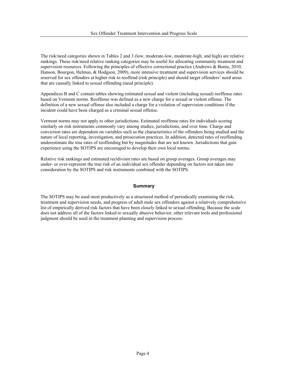The risk/need categories shown in Tables 2 and 3 (low, moderate-low, moderate-high, and high) are relative rankings. These risk/need relative ranking categories may be useful for allocating community treatment and supervision resources. Following the principles of effective correctional practice (Andrews & Bonta, 2010; Hanson, Bourgon, Helmus, & Hodgson, 2009), more intensive treatment and supervision services should be reserved for sex offenders at higher risk to reoffend (risk principle) and should target offenders' need areas that are causally linked to sexual offending (need principle).

Appendices B and C contain tables showing estimated sexual and violent (including sexual) reoffense rates based on Vermont norms. Reoffense was defined as a new charge for a sexual or violent offense. The definition of a new sexual offense also included a charge for a violation of supervision conditions if the incident could have been charged as a criminal sexual offense.

Vermont norms may not apply to other jurisdictions. Estimated reoffense rates for individuals scoring similarly on risk instruments commonly vary among studies, jurisdictions, and over time. Charge and conviction rates are dependent on variables such as the characteristics of the offenders being studied and the nature of local reporting, investigation, and prosecution practices. In addition, detected rates of reoffending underestimate the true rates of reoffending but by magnitudes that are not known. Jurisdictions that gain experience using the SOTIPS are encouraged to develop their own local norms.

Relative risk rankings and estimated recidivism rates are based on group averages. Group averages may under- or over-represent the true risk of an individual sex offender depending on factors not taken into consideration by the SOTIPS and risk instruments combined with the SOTIPS.

#### **Summary**

The SOTIPS may be used most productively as a structured method of periodically examining the risk, treatment and supervision needs, and progress of adult male sex offenders against a relatively comprehensive list of empirically derived risk factors that have been closely linked to sexual offending. Because the scale does not address all of the factors linked to sexually abusive behavior, other relevant tools and professional judgment should be used in the treatment planning and supervision process.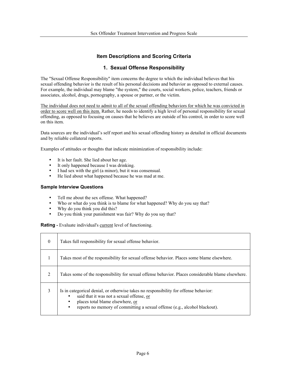# **Item Descriptions and Scoring Criteria**

# **1. Sexual Offense Responsibility**

The "Sexual Offense Responsibility" item concerns the degree to which the individual believes that his sexual offending behavior is the result of his personal decisions and behavior as opposed to external causes. For example, the individual may blame "the system," the courts, social workers, police, teachers, friends or associates, alcohol, drugs, pornography, a spouse or partner, or the victim.

The individual does not need to admit to all of the sexual offending behaviors for which he was convicted in order to score well on this item. Rather, he needs to identify a high level of personal responsibility for sexual offending, as opposed to focusing on causes that he believes are outside of his control, in order to score well on this item.

Data sources are the individual's self report and his sexual offending history as detailed in official documents and by reliable collateral reports.

Examples of attitudes or thoughts that indicate minimization of responsibility include:

- It is her fault. She lied about her age.<br>• It only hannened because I was drink
- It only happened because I was drinking.
- I had sex with the girl (a minor), but it was consensual.
- He lied about what happened because he was mad at me.

#### **Sample Interview Questions**

- Tell me about the sex offense. What happened?
- Who or what do you think is to blame for what happened? Why do you say that?
- Why do you think you did this?
- Do you think your punishment was fair? Why do you say that?

**Rating -** Evaluate individual's current level of functioning.

| $\theta$      | Takes full responsibility for sexual offense behavior.                                                                                                                                                                                                   |
|---------------|----------------------------------------------------------------------------------------------------------------------------------------------------------------------------------------------------------------------------------------------------------|
|               | Takes most of the responsibility for sexual offense behavior. Places some blame elsewhere.                                                                                                                                                               |
| 2             | Takes some of the responsibility for sexual offense behavior. Places considerable blame elsewhere.                                                                                                                                                       |
| $\mathcal{E}$ | Is in categorical denial, or otherwise takes no responsibility for offense behavior:<br>said that it was not a sexual offense, or<br>places total blame elsewhere, or<br>reports no memory of committing a sexual offense (e.g., alcohol blackout).<br>٠ |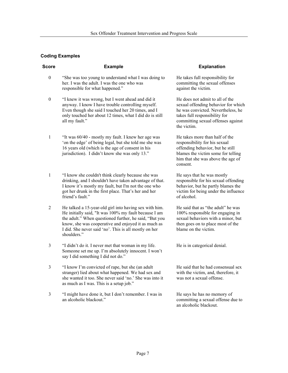| <b>Score</b>     | <b>Example</b>                                                                                                                                                                                                                                                                                           | <b>Explanation</b>                                                                                                                                                                                 |
|------------------|----------------------------------------------------------------------------------------------------------------------------------------------------------------------------------------------------------------------------------------------------------------------------------------------------------|----------------------------------------------------------------------------------------------------------------------------------------------------------------------------------------------------|
| $\boldsymbol{0}$ | "She was too young to understand what I was doing to<br>her. I was the adult. I was the one who was<br>responsible for what happened."                                                                                                                                                                   | He takes full responsibility for<br>committing the sexual offenses<br>against the victim.                                                                                                          |
| $\boldsymbol{0}$ | "I knew it was wrong, but I went ahead and did it<br>anyway. I know I have trouble controlling myself.<br>Even though she said I touched her 20 times, and I<br>only touched her about 12 times, what I did do is still<br>all my fault."                                                                | He does not admit to all of the<br>sexual offending behavior for which<br>he was convicted. Nevertheless, he<br>takes full responsibility for<br>committing sexual offenses against<br>the victim. |
| 1                | "It was 60/40 - mostly my fault. I knew her age was<br>'on the edge' of being legal, but she told me she was<br>16 years old (which is the age of consent in his<br>jurisdiction). I didn't know she was only 13."                                                                                       | He takes more than half of the<br>responsibility for his sexual<br>offending behavior, but he still<br>blames the victim some for telling<br>him that she was above the age of<br>consent.         |
| 1                | "I know she couldn't think clearly because she was<br>drinking, and I shouldn't have taken advantage of that.<br>I know it's mostly my fault, but I'm not the one who<br>got her drunk in the first place. That's her and her<br>friend's fault."                                                        | He says that he was mostly<br>responsible for his sexual offending<br>behavior, but he partly blames the<br>victim for being under the influence<br>of alcohol.                                    |
| $\overline{2}$   | He talked a 15-year-old girl into having sex with him.<br>He initially said, "It was 100% my fault because I am<br>the adult." When questioned further, he said, "But you<br>know, she was cooperative and enjoyed it as much as<br>I did. She never said 'no'. This is all mostly on her<br>shoulders." | He said that as "the adult" he was<br>100% responsible for engaging in<br>sexual behaviors with a minor, but<br>then goes on to place most of the<br>blame on the victim.                          |
| 3                | "I didn't do it. I never met that woman in my life.<br>Someone set me up. I'm absolutely innocent. I won't<br>say I did something I did not do."                                                                                                                                                         | He is in categorical denial.                                                                                                                                                                       |
| 3                | "I know I'm convicted of rape, but she (an adult<br>stranger) lied about what happened. We had sex and<br>she wanted it too. She never said 'no.' She was into it<br>as much as I was. This is a setup job."                                                                                             | He said that he had consensual sex<br>with the victim, and, therefore, it<br>was not a sexual offense.                                                                                             |
| 3                | "I might have done it, but I don't remember. I was in<br>an alcoholic blackout."                                                                                                                                                                                                                         | He says he has no memory of<br>committing a sexual offense due to<br>an alcoholic blackout.                                                                                                        |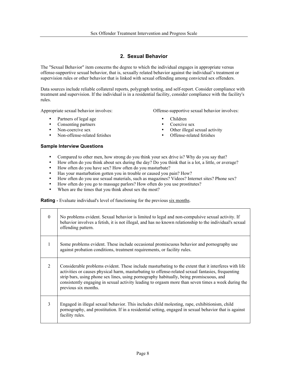# **2. Sexual Behavior**

The "Sexual Behavior" item concerns the degree to which the individual engages in appropriate versus offense-supportive sexual behavior, that is, sexually related behavior against the individual's treatment or supervision rules or other behavior that is linked with sexual offending among convicted sex offenders.

Data sources include reliable collateral reports, polygraph testing, and self-report. Consider compliance with treatment and supervision. If the individual is in a residential facility, consider compliance with the facility's rules.

• Partners of legal age • Children<br>• Consenting partners • Coercive sex

- 
- Consenting partners<br>Non-coercive sex
- Non-offense-related fetishes

# **Sample Interview Questions**

Appropriate sexual behavior involves: Offense-supportive sexual behavior involves:

- 
- 
- Other illegal sexual activity<br>Offense-related fetishes
	-
- Compared to other men, how strong do you think your sex drive is? Why do you say that?
- How often do you think about sex during the day? Do you think that is a lot, a little, or average?
- How often do you have sex? How often do you masturbate?
- Has your masturbation gotten you in trouble or caused you pain? How?
- How often do you use sexual materials, such as magazines? Videos? Internet sites? Phone sex?
- How often do you go to massage parlors? How often do you use prostitutes?
- When are the times that you think about sex the most?

**Rating -** Evaluate individual's level of functioning for the previous six months.

| $\Omega$       | No problems evident. Sexual behavior is limited to legal and non-compulsive sexual activity. If<br>behavior involves a fetish, it is not illegal, and has no known relationship to the individual's sexual<br>offending pattern.                                                                                                                                                                                                   |
|----------------|------------------------------------------------------------------------------------------------------------------------------------------------------------------------------------------------------------------------------------------------------------------------------------------------------------------------------------------------------------------------------------------------------------------------------------|
| 1              | Some problems evident. These include occasional promiscuous behavior and pornography use<br>against probation conditions, treatment requirements, or facility rules.                                                                                                                                                                                                                                                               |
| $\overline{2}$ | Considerable problems evident. These include masturbating to the extent that it interferes with life<br>activities or causes physical harm, masturbating to offense-related sexual fantasies, frequenting<br>strip bars, using phone sex lines, using pornography habitually, being promiscuous, and<br>consistently engaging in sexual activity leading to orgasm more than seven times a week during the<br>previous six months. |
| 3              | Engaged in illegal sexual behavior. This includes child molesting, rape, exhibitionism, child<br>pornography, and prostitution. If in a residential setting, engaged in sexual behavior that is against<br>facility rules.                                                                                                                                                                                                         |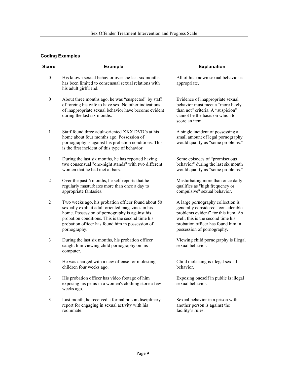| <b>Score</b>     | <b>Example</b>                                                                                                                                                                                                                                                                      | <b>Explanation</b>                                                                                                                                                                                                      |
|------------------|-------------------------------------------------------------------------------------------------------------------------------------------------------------------------------------------------------------------------------------------------------------------------------------|-------------------------------------------------------------------------------------------------------------------------------------------------------------------------------------------------------------------------|
| $\boldsymbol{0}$ | His known sexual behavior over the last six months<br>has been limited to consensual sexual relations with<br>his adult girlfriend.                                                                                                                                                 | All of his known sexual behavior is<br>appropriate.                                                                                                                                                                     |
| $\boldsymbol{0}$ | About three months ago, he was "suspected" by staff<br>of forcing his wife to have sex. No other indications<br>of inappropriate sexual behavior have become evident<br>during the last six months.                                                                                 | Evidence of inappropriate sexual<br>behavior must meet a "more likely<br>than not" criteria. A "suspicion"<br>cannot be the basis on which to<br>score an item.                                                         |
| 1                | Staff found three adult-oriented XXX DVD's at his<br>home about four months ago. Possession of<br>pornography is against his probation conditions. This<br>is the first incident of this type of behavior.                                                                          | A single incident of possessing a<br>small amount of legal pornography<br>would qualify as "some problems."                                                                                                             |
| $\mathbf{1}$     | During the last six months, he has reported having<br>two consensual "one-night stands" with two different<br>women that he had met at bars.                                                                                                                                        | Some episodes of "promiscuous<br>behavior" during the last six month<br>would qualify as "some problems."                                                                                                               |
| $\overline{2}$   | Over the past 6 months, he self-reports that he<br>regularly masturbates more than once a day to<br>appropriate fantasies.                                                                                                                                                          | Masturbating more than once daily<br>qualifies as "high frequency or<br>compulsive" sexual behavior.                                                                                                                    |
| $\overline{2}$   | Two weeks ago, his probation officer found about 50<br>sexually explicit adult oriented magazines in his<br>home. Possession of pornography is against his<br>probation conditions. This is the second time his<br>probation officer has found him in possession of<br>pornography. | A large pornography collection is<br>generally considered "considerable<br>problems evident" for this item. As<br>well, this is the second time his<br>probation officer has found him in<br>possession of pornography. |
| 3                | During the last six months, his probation officer<br>caught him viewing child pornography on his<br>computer.                                                                                                                                                                       | Viewing child pornography is illegal<br>sexual behavior.                                                                                                                                                                |
| 3                | He was charged with a new offense for molesting<br>children four weeks ago.                                                                                                                                                                                                         | Child molesting is illegal sexual<br>behavior.                                                                                                                                                                          |
| 3                | His probation officer has video footage of him<br>exposing his penis in a women's clothing store a few<br>weeks ago.                                                                                                                                                                | Exposing oneself in public is illegal<br>sexual behavior.                                                                                                                                                               |
| 3                | Last month, he received a formal prison disciplinary<br>report for engaging in sexual activity with his<br>roommate.                                                                                                                                                                | Sexual behavior in a prison with<br>another person is against the<br>facility's rules.                                                                                                                                  |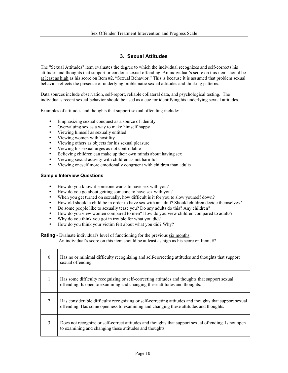# **3. Sexual Attitudes**

The "Sexual Attitudes" item evaluates the degree to which the individual recognizes and self-corrects his attitudes and thoughts that support or condone sexual offending. An individual's score on this item should be at least as high as his score on Item #2, "Sexual Behavior." This is because it is assumed that problem sexual behavior reflects the presence of underlying problematic sexual attitudes and thinking patterns.

Data sources include observation, self-report, reliable collateral data, and psychological testing. The individual's recent sexual behavior should be used as a cue for identifying his underlying sexual attitudes.

Examples of attitudes and thoughts that support sexual offending include:

- Emphasizing sexual conquest as a source of identity
- Overvaluing sex as a way to make himself happy
- Viewing himself as sexually entitled
- Viewing women with hostility
- Viewing others as objects for his sexual pleasure
- Viewing his sexual urges as not controllable
- Believing children can make up their own minds about having sex
- Viewing sexual activity with children as not harmful
- Viewing oneself more emotionally congruent with children than adults

# **Sample Interview Questions**

- How do you know if someone wants to have sex with you?
- How do you go about getting someone to have sex with you?
- When you get turned on sexually, how difficult is it for you to slow yourself down?
- How old should a child be in order to have sex with an adult? Should children decide themselves?
- Do some people like to sexually tease you? Do any adults do this? Any children?
- How do you view women compared to men? How do you view children compared to adults?
- Why do you think you got in trouble for what you did?
- How do you think your victim felt about what you did? Why?

**Rating** - Evaluate individual's level of functioning for the previous six months.

An individual's score on this item should be at least as high as his score on Item, #2.

| $\theta$       | Has no or minimal difficulty recognizing and self-correcting attitudes and thoughts that support<br>sexual offending.                                                                         |
|----------------|-----------------------------------------------------------------------------------------------------------------------------------------------------------------------------------------------|
| $\mathbf{1}$   | Has some difficulty recognizing or self-correcting attitudes and thoughts that support sexual<br>offending. Is open to examining and changing these attitudes and thoughts.                   |
| $\overline{2}$ | Has considerable difficulty recognizing or self-correcting attitudes and thoughts that support sexual<br>offending. Has some openness to examining and changing these attitudes and thoughts. |
| 3              | Does not recognize or self-correct attitudes and thoughts that support sexual offending. Is not open<br>to examining and changing these attitudes and thoughts.                               |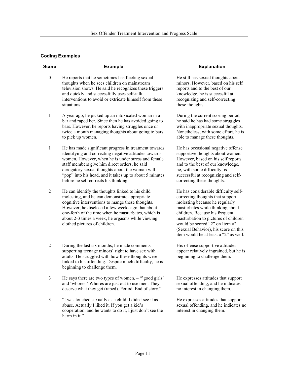| <b>Score</b> | <b>Example</b>                                                                                        | <b>Explanation</b>                                        |
|--------------|-------------------------------------------------------------------------------------------------------|-----------------------------------------------------------|
| $\theta$     | He reports that he sometimes has fleeting sexual<br>thoughts when he sees children on mainstream      | He still has sexual thought<br>minors. However, based o   |
|              | television shows. He said he recognizes these triggers<br>and quickly and successfully uses self-talk | reports and to the best of o<br>knowledge, he is successf |
|              | interventions to avoid or extricate himself from these<br>situations.                                 | recognizing and self-corre<br>these thoughts.             |

- 1 A year ago, he picked up an intoxicated woman in a bar and raped her. Since then he has avoided going to bars. However, he reports having struggles once or twice a month managing thoughts about going to bars to pick up women.
- 1 He has made significant progress in treatment towards identifying and correcting negative attitudes towards women. However, when he is under stress and female staff members give him direct orders, he said derogatory sexual thoughts about the woman will "pop" into his head, and it takes up to about 5 minutes before he self corrects his thinking.
- 2 He can identify the thoughts linked to his child molesting, and he can demonstrate appropriate cognitive interventions to mange these thoughts. However, he disclosed a few weeks ago that about one-forth of the time when he masturbates, which is about 2-3 times a week, he orgasms while viewing clothed pictures of children.
- $\mathfrak{D}$ During the last six months, he made comments supporting teenage minors' right to have sex with adults. He struggled with how these thoughts were linked to his offending. Despite much difficulty, he is beginning to challenge them.
- 3 He says there are two types of women, – "'good girls' and 'whores.' Whores are just out to use men. They deserve what they get (raped). Period. End of story."
- 3 "I was touched sexually as a child. I didn't see it as abuse. Actually I liked it. If you get a kid's cooperation, and he wants to do it, I just don't see the harm in it."

He still has sexual thoughts about minors. However, based on his self reports and to the best of our knowledge, he is successful at recognizing and self-correcting these thoughts.

During the current scoring period, he said he has had some struggles with inappropriate sexual thoughts. Nonetheless, with some effort, he is able to manage these thoughts.

He has occasional negative offense supportive thoughts about women. However, based on his self reports and to the best of our knowledge, he, with some difficulty, is successful at recognizing and selfcorrecting these thoughts.

He has considerable difficulty selfcorrecting thoughts that support molesting because he regularly masturbates while thinking about children. Because his frequent masturbation to pictures of children would be scored "2" on Item #2 (Sexual Behavior), his score on this item would be at least a "2" as well.

His offense supportive attitudes appear relatively ingrained, but he is beginning to challenge them.

He expresses attitudes that support sexual offending, and he indicates no interest in changing them.

He expresses attitudes that support sexual offending, and he indicates no interest in changing them.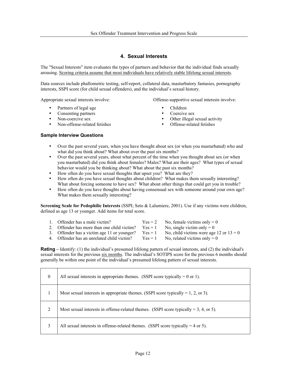# **4. Sexual Interests**

The "Sexual Interests" item evaluates the types of partners and behavior that the individual finds sexually arousing. Scoring criteria assume that most individuals have relatively stable lifelong sexual interests.

Data sources include phallometric testing, self-report, collateral data, masturbatory fantasies, pornography interests, SSPI score (for child sexual offenders), and the individual's sexual history.

- Partners of legal age Children
- Consenting partners<br>Non-coercive sex
- 
- Non-offense-related fetishes

Appropriate sexual interests involve: Offense-supportive sexual interests involve:

- 
- 
- Other illegal sexual activity<br>Offense-related fetishes
- 

# **Sample Interview Questions**

- Over the past several years, when you have thought about sex (or when you masturbated) who and what did you think about? What about over the past six months?
- Over the past several years, about what percent of the time when you thought about sex (or when you masturbated) did you think about females? Males? What are their ages? What types of sexual behavior would you be thinking about? What about the past six months?
- How often do you have sexual thoughts that upset you? What are they?
- How often do you have sexual thoughts about children? What makes them sexually interesting? What about forcing someone to have sex? What about other things that could get you in trouble?
- How often do you have thoughts about having consensual sex with someone around your own age? What makes them sexually interesting?

**Screening Scale for Pedophilic Interests** (SSPI; Seto & Lalumiere, 2001). Use if any victims were children, defined as age 13 or younger. Add items for total score.

| 1. Offender has a male victim?                        | $Yes = 2$ | No, female victims only $= 0$             |
|-------------------------------------------------------|-----------|-------------------------------------------|
| 2. Offender has more than one child victim? $Yes = 1$ |           | No, single victim only = $0$              |
| 3. Offender has a victim age 11 or younger?           | $Yes = 1$ | No, child victims were age 12 or $13 = 0$ |
| 4. Offender has an unrelated child victim?            | $Yes = 1$ | No, related victims only $= 0$            |
|                                                       |           |                                           |

**Rating –** Identify: (1) the individual's presumed lifelong pattern of sexual interests, and (2) the individual's sexual interests for the previous six months. The individual's SOTIPS score for the previous 6 months should generally be within one point of the individual's presumed lifelong pattern of sexual interests.

| $\mathbf{0}$ | All sexual interests in appropriate themes. (SSPI score typically = $0$ or 1).        |
|--------------|---------------------------------------------------------------------------------------|
|              | Most sexual interests in appropriate themes. (SSPI score typically $= 1, 2,$ or 3).   |
| ↑            | Most sexual interests in offense-related themes. (SSPI score typically = 3, 4, or 5). |
| 3            | All sexual interests in offense-related themes. (SSPI score typically $=$ 4 or 5).    |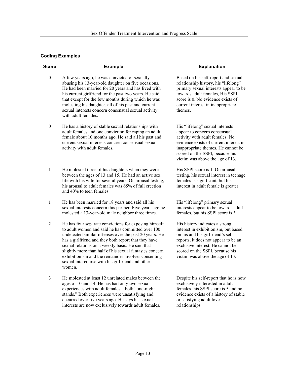- $\theta$ A few years ago, he was convicted of sexually abusing his 13-year-old daughter on five occasions. He had been married for 20 years and has lived with his current girlfriend for the past two years. He said that except for the few months during which he was molesting his daughter, all of his past and current sexual interests concern consensual sexual activity with adult females.
- $\theta$ He has a history of stable sexual relationships with adult females and one conviction for raping an adult female about 10 months ago. He said all his past and current sexual interests concern consensual sexual activity with adult females.
- 1 He molested three of his daughters when they were between the ages of 13 and 15. He had an active sex life with his wife for several years. On arousal testing, his arousal to adult females was 65% of full erection and 40% to teen females.
- 1 He has been married for 18 years and said all his sexual interests concern this partner. Five years ago he molested a 13-year-old male neighbor three times.
- 2 He has four separate convictions for exposing himself to adult women and said he has committed over 100 undetected similar offenses over the past 20 years. He has a girlfriend and they both report that they have sexual relations on a weekly basis. He said that slightly more than half of his sexual fantasies concern exhibitionism and the remainder involves consenting sexual intercourse with his girlfriend and other women.
- 3 He molested at least 12 unrelated males between the ages of 10 and 14. He has had only two sexual experiences with adult females – both "one-night stands." Both experiences were unsatisfying and occurred over five years ago. He says his sexual interests are now exclusively towards adult females.

# **Score Example Explanation**

Based on his self-report and sexual relationship history, his "lifelong" primary sexual interests appear to be towards adult females, His SSPI score is 0. No evidence exists of current interest in inappropriate themes.

His "lifelong" sexual interests appear to concern consensual activity with adult females. No evidence exists of current interest in inappropriate themes. He cannot be scored on the SSPI, because his victim was above the age of 13.

His SSPI score is 1. On arousal testing, his sexual interest in teenage females is significant, but his interest in adult female is greater

His "lifelong" primary sexual interests appear to be towards adult females, but his SSPI score is 3.

His history indicates a strong interest in exhibitionism, but based on his and his girlfriend's self reports, it does not appear to be an exclusive interest. He cannot be scored on the SSPI, because his victim was above the age of 13.

Despite his self-report that he is now exclusively interested in adult females, his SSPI score is 5 and no evidence exists of a history of stable or satisfying adult love relationships.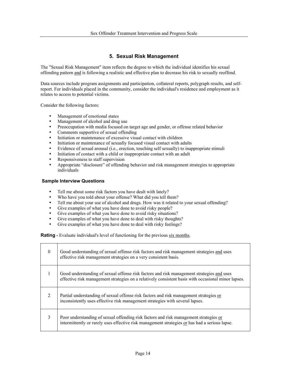# **5. Sexual Risk Management**

The "Sexual Risk Management" item reflects the degree to which the individual identifies his sexual offending pattern and is following a realistic and effective plan to decrease his risk to sexually reoffend.

Data sources include program assignments and participation, collateral reports, polygraph results, and selfreport. For individuals placed in the community, consider the individual's residence and employment as it relates to access to potential victims.

Consider the following factors:

- Management of emotional states
- Management of alcohol and drug use
- Preoccupation with media focused on target age and gender, or offense related behavior
- Comments supportive of sexual offending
- Initiation or maintenance of excessive visual contact with children
- Initiation or maintenance of sexually focused visual contact with adults
- Evidence of sexual arousal (i.e., erection, touching self sexually) to inappropriate stimuli
- Initiation of contact with a child or inappropriate contact with an adult
- Responsiveness to staff supervision
- Appropriate "disclosure" of offending behavior and risk management strategies to appropriate individuals

# **Sample Interview Questions**

- Tell me about some risk factors you have dealt with lately?
- Who have you told about your offense? What did you tell them?
- Tell me about your use of alcohol and drugs. How was it related to your sexual offending?
- Give examples of what you have done to avoid risky people?
- Give examples of what you have done to avoid risky situations?
- Give examples of what you have done to deal with risky thoughts?
- Give examples of what you have done to deal with risky feelings?

**Rating** - Evaluate individual's level of functioning for the previous six months.

| $\theta$       | Good understanding of sexual offense risk factors and risk management strategies and uses<br>effective risk management strategies on a very consistent basis.                                    |
|----------------|--------------------------------------------------------------------------------------------------------------------------------------------------------------------------------------------------|
| 1              | Good understanding of sexual offense risk factors and risk management strategies and uses<br>effective risk management strategies on a relatively consistent basis with occasional minor lapses. |
| $\overline{2}$ | Partial understanding of sexual offense risk factors and risk management strategies or<br>inconsistently uses effective risk management strategies with several lapses.                          |
| $\mathcal{E}$  | Poor understanding of sexual offending risk factors and risk management strategies or<br>intermittently or rarely uses effective risk management strategies or has had a serious lapse.          |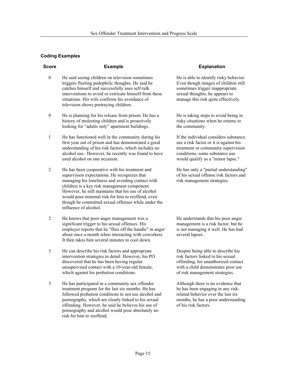3

| <b>Score</b>     | <b>Example</b>                                                                                                                                                                                                                                                                                                                                                                                  | <b>Explanation</b>                                                                                                                                                                           |
|------------------|-------------------------------------------------------------------------------------------------------------------------------------------------------------------------------------------------------------------------------------------------------------------------------------------------------------------------------------------------------------------------------------------------|----------------------------------------------------------------------------------------------------------------------------------------------------------------------------------------------|
| $\boldsymbol{0}$ | He said seeing children on television sometimes<br>triggers fleeting pedophilic thoughts. He said he<br>catches himself and successfully uses self-talk<br>interventions to avoid or extricate himself from these<br>situations. His wife confirms his avoidance of<br>television shows portraying children.                                                                                    | He is able to identify risky behavior.<br>Even though images of children still<br>sometimes trigger inappropriate<br>sexual thoughts, he appears to<br>manage this risk quite effectively.   |
| $\mathbf{0}$     | He is planning for his release from prison. He has a<br>history of molesting children and is proactively<br>looking for "adults only" apartment buildings.                                                                                                                                                                                                                                      | He is taking steps to avoid being in<br>risky situations when he returns to<br>the community.                                                                                                |
| 1                | He has functioned well in the community during his<br>first year out of prison and has demonstrated a good<br>understanding of his risk factors, which includes no<br>alcohol use. However, he recently was found to have<br>used alcohol on one occasion.                                                                                                                                      | If the individual considers substance<br>use a risk factor or it is against his<br>treatment or community supervision<br>conditions, some substance use<br>would qualify as a "minor lapse." |
| $\overline{2}$   | He has been cooperative with his treatment and<br>supervision expectations. He recognizes that<br>managing his loneliness and avoiding contact with<br>children is a key risk management component.<br>However, he still maintains that his use of alcohol<br>would pose minimal risk for him to reoffend, even<br>though he committed sexual offenses while under the<br>influence of alcohol. | He has only a "partial understanding"<br>of his sexual offense risk factors and<br>risk management strategies.                                                                               |
| 2                | He knows that poor anger management was a<br>significant trigger to his sexual offenses. His<br>employer reports that he "flies off the handle" in anger<br>about once a month when interacting with coworkers.<br>It then takes him several minutes to cool down.                                                                                                                              | He understands that his poor anger<br>management is a risk factor, but he<br>is not managing it well. He has had<br>several lapses.                                                          |

- He can describe his risk factors and appropriate intervention strategies in detail. However, his PO discovered that he has been having regular unsupervised contact with a 10-year-old female, which against his probation conditions.
- 3 He has participated in a community sex offender treatment program for the last six months. He has followed probation conditions to not use alcohol and pornography, which are clearly linked to his sexual offending. However, he said he believes his use of pornography and alcohol would pose absolutely no risk for him to reoffend.

risk factors linked to his sexual offending, his unauthorized contact with a child demonstrates poor use of risk management strategies.

Despite being able to describe his

Although there is no evidence that he has been engaging in any riskrelated behavior over the last six months, he has a poor understanding of his risk factors.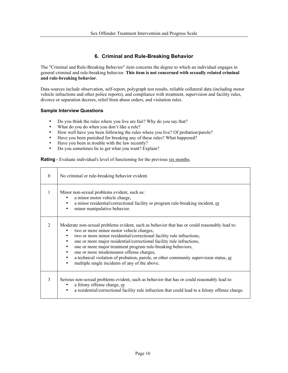# **6. Criminal and Rule-Breaking Behavior**

The "Criminal and Rule-Breaking Behavior" item concerns the degree to which an individual engages in general criminal and rule-breaking behavior. **This item is not concerned with sexually related criminal and rule-breaking behavior**.

Data sources include observation, self-report, polygraph test results, reliable collateral data (including motor vehicle infractions and other police reports), and compliance with treatment, supervision and facility rules, divorce or separation decrees, relief from abuse orders, and visitation rules.

# **Sample Interview Questions**

- Do you think the rules where you live are fair? Why do you say that?<br>• What do you do when you don't like a rule?
- What do you do when you don't like a rule?
- How well have you been following the rules where you live? Of probation/parole?
- Have you been punished for breaking any of these rules? What happened?
- Have you been in trouble with the law recently?
- Do you sometimes lie to get what you want? Explain?

**Rating** - Evaluate individual's level of functioning for the previous six months.

| $\Omega$       | No criminal or rule-breaking behavior evident.                                                                                                                                                                                                                                                                                                                                                                                                                                                                                                                                                                          |
|----------------|-------------------------------------------------------------------------------------------------------------------------------------------------------------------------------------------------------------------------------------------------------------------------------------------------------------------------------------------------------------------------------------------------------------------------------------------------------------------------------------------------------------------------------------------------------------------------------------------------------------------------|
| $\mathbf{1}$   | Minor non-sexual problems evident, such as:<br>a minor motor vehicle charge,<br>a minor residential/correctional facility or program rule-breaking incident, or<br>$\bullet$<br>minor manipulative behavior.<br>$\bullet$                                                                                                                                                                                                                                                                                                                                                                                               |
| $\overline{2}$ | Moderate non-sexual problems evident, such as behavior that has or could reasonably lead to:<br>two or more minor motor vehicle charges,<br>two or more minor residential/correctional facility rule infractions,<br>٠<br>one or more major residential/correctional facility rule infractions,<br>$\bullet$<br>one or more major treatment program rule-breaking behaviors,<br>$\bullet$<br>one or more misdemeanor offense charges,<br>$\bullet$<br>a technical violation of probation, parole, or other community supervision status, or<br>$\bullet$<br>multiple single incidents of any of the above.<br>$\bullet$ |
| 3              | Serious non-sexual problems evident, such as behavior that has or could reasonably lead to:<br>a felony offense charge, or<br>a residential/correctional facility rule infraction that could lead to a felony offense charge.<br>$\bullet$                                                                                                                                                                                                                                                                                                                                                                              |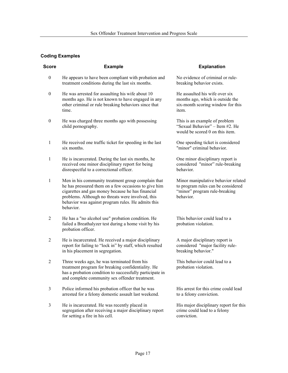| Score            | <b>Example</b>                                                                                                                                                                                                                                                                          | <b>Explanation</b>                                                                                                      |
|------------------|-----------------------------------------------------------------------------------------------------------------------------------------------------------------------------------------------------------------------------------------------------------------------------------------|-------------------------------------------------------------------------------------------------------------------------|
| $\boldsymbol{0}$ | He appears to have been compliant with probation and<br>treatment conditions during the last six months.                                                                                                                                                                                | No evidence of criminal or rule-<br>breaking behavior exists.                                                           |
| $\boldsymbol{0}$ | He was arrested for assaulting his wife about 10<br>months ago. He is not known to have engaged in any<br>other criminal or rule breaking behaviors since that<br>time.                                                                                                                 | He assaulted his wife over six<br>months ago, which is outside the<br>six-month scoring window for this<br>item.        |
| $\boldsymbol{0}$ | He was charged three months ago with possessing<br>child pornography.                                                                                                                                                                                                                   | This is an example of problem<br>"Sexual Behavior" - Item #2. He<br>would be scored 0 on this item.                     |
| $\mathbf{1}$     | He received one traffic ticket for speeding in the last<br>six months.                                                                                                                                                                                                                  | One speeding ticket is considered<br>"minor" criminal behavior.                                                         |
| 1                | He is incarcerated. During the last six months, he<br>received one minor disciplinary report for being<br>disrespectful to a correctional officer.                                                                                                                                      | One minor disciplinary report is<br>considered "minor" rule-breaking<br>behavior.                                       |
| $\mathbf{1}$     | Men in his community treatment group complain that<br>he has pressured them on a few occasions to give him<br>cigarettes and gas money because he has financial<br>problems. Although no threats were involved, this<br>behavior was against program rules. He admits this<br>behavior. | Minor manipulative behavior related<br>to program rules can be considered<br>"minor" program rule-breaking<br>behavior. |
| 2                | He has a "no alcohol use" probation condition. He<br>failed a Breathalyzer test during a home visit by his<br>probation officer.                                                                                                                                                        | This behavior could lead to a<br>probation violation.                                                                   |
| $\overline{2}$   | He is incarcerated. He received a major disciplinary<br>report for failing to "lock in" by staff, which resulted<br>in his placement in segregation.                                                                                                                                    | A major disciplinary report is<br>considered "major facility rule-<br>breaking behavior."                               |
| $\overline{2}$   | Three weeks ago, he was terminated from his<br>treatment program for breaking confidentiality. He<br>has a probation condition to successfully participate in<br>and complete community sex offender treatment.                                                                         | This behavior could lead to a<br>probation violation.                                                                   |
| 3                | Police informed his probation officer that he was<br>arrested for a felony domestic assault last weekend.                                                                                                                                                                               | His arrest for this crime could lead<br>to a felony conviction.                                                         |
| 3                | He is incarcerated. He was recently placed in<br>segregation after receiving a major disciplinary report<br>for setting a fire in his cell.                                                                                                                                             | His major disciplinary report for this<br>crime could lead to a felony<br>conviction.                                   |
|                  |                                                                                                                                                                                                                                                                                         |                                                                                                                         |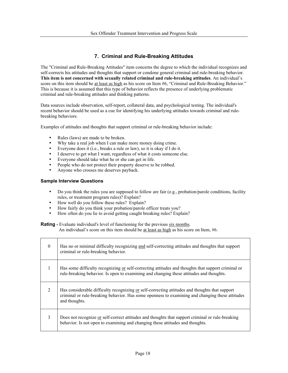# **7. Criminal and Rule-Breaking Attitudes**

The "Criminal and Rule-Breaking Attitudes" item concerns the degree to which the individual recognizes and self-corrects his attitudes and thoughts that support or condone general criminal and rule-breaking behavior. **This item is not concerned with sexually related criminal and rule-breaking attitudes**. An individual's score on this item should be at least as high as his score on Item #6, "Criminal and Rule-Breaking Behavior." This is because it is assumed that this type of behavior reflects the presence of underlying problematic criminal and rule-breaking attitudes and thinking patterns.

Data sources include observation, self-report, collateral data, and psychological testing. The individual's recent behavior should be used as a cue for identifying his underlying attitudes towards criminal and rulebreaking behaviors.

Examples of attitudes and thoughts that support criminal or rule-breaking behavior include:

- Rules (laws) are made to be broken.
- Why take a real job when I can make more money doing crime.
- Everyone does it (i.e., breaks a rule or law), so it is okay if I do it.
- I deserve to get what I want, regardless of what it costs someone else.
- Everyone should take what he or she can get in life.
- People who do not protect their property deserve to be robbed.
- Anyone who crosses me deserves payback.

# **Sample Interview Questions**

- Do you think the rules you are supposed to follow are fair (e.g., probation/parole conditions, facility rules, or treatment program rules)? Explain?
- How well do you follow these rules? Explain?
- How fairly do you think your probation/parole officer treats you?
- How often do you lie to avoid getting caught breaking rules? Explain?

**Rating** - Evaluate individual's level of functioning for the previous six months. An individual's score on this item should be at least as high as his score on Item, #6.

| $\theta$     | Has no or minimal difficulty recognizing and self-correcting attitudes and thoughts that support<br>criminal or rule-breaking behavior.                                                                            |
|--------------|--------------------------------------------------------------------------------------------------------------------------------------------------------------------------------------------------------------------|
| $\mathbf{1}$ | Has some difficulty recognizing or self-correcting attitudes and thoughts that support criminal or<br>rule-breaking behavior. Is open to examining and changing these attitudes and thoughts.                      |
| 2            | Has considerable difficulty recognizing or self-correcting attitudes and thoughts that support<br>criminal or rule-breaking behavior. Has some openness to examining and changing these attitudes<br>and thoughts. |
| 3            | Does not recognize or self-correct attitudes and thoughts that support criminal or rule-breaking<br>behavior. Is not open to examining and changing these attitudes and thoughts.                                  |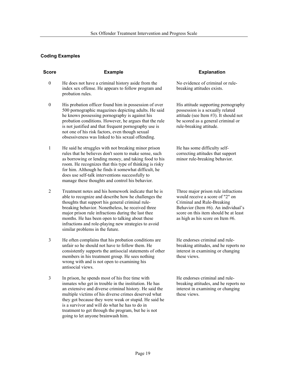| <b>Score</b>     | <b>Example</b>                                                                                                                                                                                                                                                                                                                                                                                                            | <b>Explanation</b>                                                                                                                                                                                                       |
|------------------|---------------------------------------------------------------------------------------------------------------------------------------------------------------------------------------------------------------------------------------------------------------------------------------------------------------------------------------------------------------------------------------------------------------------------|--------------------------------------------------------------------------------------------------------------------------------------------------------------------------------------------------------------------------|
| $\boldsymbol{0}$ | He does not have a criminal history aside from the<br>index sex offense. He appears to follow program and<br>probation rules.                                                                                                                                                                                                                                                                                             | No evidence of criminal or rule-<br>breaking attitudes exists.                                                                                                                                                           |
| $\mathbf{0}$     | His probation officer found him in possession of over<br>500 pornographic magazines depicting adults. He said<br>he knows possessing pornography is against his<br>probation conditions. However, he argues that the rule<br>is not justified and that frequent pornography use is<br>not one of his risk factors, even though sexual<br>obsessiveness was linked to his sexual offending.                                | His attitude supporting pornography<br>possession is a sexually related<br>attitude (see Item #3). It should not<br>be scored as a general criminal or<br>rule-breaking attitude.                                        |
| 1                | He said he struggles with not breaking minor prison<br>rules that he believes don't seem to make sense, such<br>as borrowing or lending money, and taking food to his<br>room. He recognizes that this type of thinking is risky<br>for him. Although he finds it somewhat difficult, he<br>does use self-talk interventions successfully to<br>manage these thoughts and control his behavior.                           | He has some difficulty self-<br>correcting attitudes that support<br>minor rule-breaking behavior.                                                                                                                       |
| 2                | Treatment notes and his homework indicate that he is<br>able to recognize and describe how he challenges the<br>thoughts that support his general criminal rule-<br>breaking behavior. Nonetheless, he received three<br>major prison rule infractions during the last thee<br>months. He has been open to talking about these<br>infractions and role-playing new strategies to avoid<br>similar problems in the future. | Three major prison rule infractions<br>would receive a score of "2" on<br>Criminal and Rule-Breaking<br>Behavior (Item #6). An individual's<br>score on this item should be at least<br>as high as his score on Item #6. |
| 3                | He often complains that his probation conditions are<br>unfair so he should not have to follow them. He<br>consistently supports the antisocial statements of other<br>members in his treatment group. He sees nothing<br>wrong with and is not open to examining his<br>antisocial views.                                                                                                                                | He endorses criminal and rule-<br>breaking attitudes, and he reports no<br>interest in examining or changing<br>these views.                                                                                             |
| 3                | In prison, he spends most of his free time with<br>inmates who get in trouble in the institution. He has<br>an extensive and diverse criminal history. He said the<br>multiple victims of his diverse crimes deserved what<br>they got because they were weak or stupid. He said he<br>is a survivor and will do what he has to do in<br>treatment to get through the program, but he is not                              | He endorses criminal and rule-<br>breaking attitudes, and he reports no<br>interest in examining or changing<br>these views.                                                                                             |

going to let anyone brainwash him.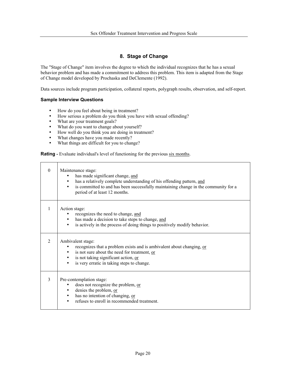# **8. Stage of Change**

The "Stage of Change" item involves the degree to which the individual recognizes that he has a sexual behavior problem and has made a commitment to address this problem. This item is adapted from the Stage of Change model developed by Prochaska and DeClemente (1992).

Data sources include program participation, collateral reports, polygraph results, observation, and self-report.

# **Sample Interview Questions**

- How do you feel about being in treatment?
- How serious a problem do you think you have with sexual offending?
- What are your treatment goals?
- What do you want to change about yourself?
- How well do you think you are doing in treatment?
- What changes have you made recently?<br>• What things are difficult for you to chan
- What things are difficult for you to change?

**Rating** - Evaluate individual's level of functioning for the previous six months.

| $\Omega$                    | Maintenance stage:<br>has made significant change, and<br>has a relatively complete understanding of his offending pattern, and<br>is committed to and has been successfully maintaining change in the community for a<br>period of at least 12 months. |
|-----------------------------|---------------------------------------------------------------------------------------------------------------------------------------------------------------------------------------------------------------------------------------------------------|
| 1                           | Action stage:<br>recognizes the need to change, and<br>has made a decision to take steps to change, and<br>is actively in the process of doing things to positively modify behavior.<br>٠                                                               |
| $\mathcal{D}_{\mathcal{L}}$ | Ambivalent stage:<br>recognizes that a problem exists and is ambivalent about changing, or<br>is not sure about the need for treatment, or<br>is not taking significant action, or<br>is very erratic in taking steps to change.                        |
| 3                           | Pre-contemplation stage:<br>does not recognize the problem, or<br>denies the problem, or<br>has no intention of changing, or<br>refuses to enroll in recommended treatment.                                                                             |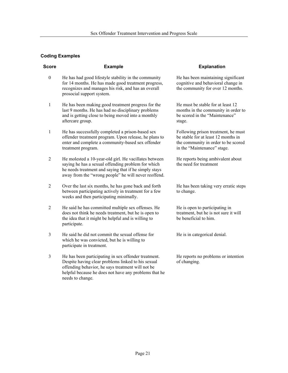| <b>Score</b>     | <b>Example</b>                                                                                                                                                                                                                               | <b>Explanation</b>                                                                                                                               |
|------------------|----------------------------------------------------------------------------------------------------------------------------------------------------------------------------------------------------------------------------------------------|--------------------------------------------------------------------------------------------------------------------------------------------------|
| $\boldsymbol{0}$ | He has had good lifestyle stability in the community<br>for 14 months. He has made good treatment progress,<br>recognizes and manages his risk, and has an overall<br>prosocial support system.                                              | He has been maintaining significant<br>cognitive and behavioral change in<br>the community for over 12 months.                                   |
| 1                | He has been making good treatment progress for the<br>last 9 months. He has had no disciplinary problems<br>and is getting close to being moved into a monthly<br>aftercare group.                                                           | He must be stable for at least 12<br>months in the community in order to<br>be scored in the "Maintenance"<br>stage.                             |
| 1                | He has successfully completed a prison-based sex<br>offender treatment program. Upon release, he plans to<br>enter and complete a community-based sex offender<br>treatment program.                                                         | Following prison treatment, he must<br>be stable for at least 12 months in<br>the community in order to be scored<br>in the "Maintenance" stage. |
| 2                | He molested a 10-year-old girl. He vacillates between<br>saying he has a sexual offending problem for which<br>he needs treatment and saying that if he simply stays<br>away from the "wrong people" he will never reoffend.                 | He reports being ambivalent about<br>the need for treatment                                                                                      |
| 2                | Over the last six months, he has gone back and forth<br>between participating actively in treatment for a few<br>weeks and then participating minimally.                                                                                     | He has been taking very erratic steps<br>to change.                                                                                              |
| 2                | He said he has committed multiple sex offenses. He<br>does not think he needs treatment, but he is open to<br>the idea that it might be helpful and is willing to<br>participate.                                                            | He is open to participating in<br>treatment, but he is not sure it will<br>be beneficial to him.                                                 |
| 3                | He said he did not commit the sexual offense for<br>which he was convicted, but he is willing to<br>participate in treatment.                                                                                                                | He is in categorical denial.                                                                                                                     |
| 3                | He has been participating in sex offender treatment.<br>Despite having clear problems linked to his sexual<br>offending behavior, he says treatment will not be<br>helpful because he does not have any problems that he<br>needs to change. | He reports no problems or intention<br>of changing.                                                                                              |
|                  |                                                                                                                                                                                                                                              |                                                                                                                                                  |
|                  |                                                                                                                                                                                                                                              |                                                                                                                                                  |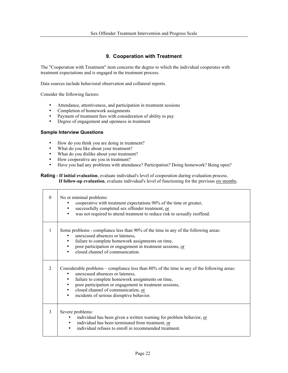# **9. Cooperation with Treatment**

The "Cooperation with Treatment" item concerns the degree to which the individual cooperates with treatment expectations and is engaged in the treatment process.

Data sources include behavioral observation and collateral reports.

Consider the following factors:

- Attendance, attentiveness, and participation in treatment sessions
- Completion of homework assignments
- Payment of treatment fees with consideration of ability to pay<br>
Pearso of aparament and openness in treatment
- Degree of engagement and openness in treatment

# **Sample Interview Questions**

- How do you think you are doing in treatment?
- What do you like about your treatment?
- What do you dislike about your treatment?
- How cooperative are you in treatment?<br>• Have you had any problems with attend
- Have you had any problems with attendance? Participation? Doing homework? Being open?

# **Rating - If initial evaluation**, evaluate individual's level of cooperation during evaluation process. **If follow-up evaluation**, evaluate individual's level of functioning for the previous six months.

| $\Omega$       | No or minimal problems:<br>cooperative with treatment expectations 90% of the time or greater,<br>successfully completed sex offender treatment, or<br>was not required to attend treatment to reduce risk to sexually reoffend.                                                                                                                             |
|----------------|--------------------------------------------------------------------------------------------------------------------------------------------------------------------------------------------------------------------------------------------------------------------------------------------------------------------------------------------------------------|
| 1              | Some problems - compliance less than 90% of the time in any of the following areas:<br>unexcused absences or lateness,<br>failure to complete homework assignments on time,<br>poor participation or engagement in treatment sessions, or<br>closed channel of communication.                                                                                |
| $\mathfrak{D}$ | Considerable problems – compliance less than 80% of the time in any of the following areas:<br>unexcused absences or lateness,<br>failure to complete homework assignments on time,<br>poor participation or engagement in treatment sessions,<br>$\bullet$<br>closed channel of communication, or<br>$\bullet$<br>incidents of serious disruptive behavior. |
| 3              | Severe problems:<br>individual has been given a written warning for problem behavior, or<br>individual has been terminated from treatment, or<br>individual refuses to enroll in recommended treatment.                                                                                                                                                      |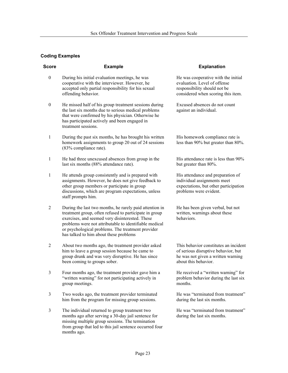| <b>Score</b>     | <b>Example</b>                                                                                                                                                                                                                                                                                                                | <b>Explanation</b>                                                                                                                         |
|------------------|-------------------------------------------------------------------------------------------------------------------------------------------------------------------------------------------------------------------------------------------------------------------------------------------------------------------------------|--------------------------------------------------------------------------------------------------------------------------------------------|
| $\boldsymbol{0}$ | During his initial evaluation meetings, he was<br>cooperative with the interviewer. However, he<br>accepted only partial responsibility for his sexual<br>offending behavior.                                                                                                                                                 | He was cooperative with the initial<br>evaluation. Level of offense<br>responsibility should not be<br>considered when scoring this item.  |
| $\boldsymbol{0}$ | He missed half of his group treatment sessions during<br>the last six months due to serious medical problems<br>that were confirmed by his physician. Otherwise he<br>has participated actively and been engaged in<br>treatment sessions.                                                                                    | Excused absences do not count<br>against an individual.                                                                                    |
| 1                | During the past six months, he has brought his written<br>homework assignments to group 20 out of 24 sessions<br>(83% compliance rate).                                                                                                                                                                                       | His homework compliance rate is<br>less than 90% but greater than 80%.                                                                     |
| 1                | He had three unexcused absences from group in the<br>last six months (88% attendance rate).                                                                                                                                                                                                                                   | His attendance rate is less than 90%<br>but greater than 80%.                                                                              |
| 1                | He attends group consistently and is prepared with<br>assignments. However, he does not give feedback to<br>other group members or participate in group<br>discussions, which are program expectations, unless<br>staff prompts him.                                                                                          | His attendance and preparation of<br>individual assignments meet<br>expectations, but other participation<br>problems were evident.        |
| $\overline{2}$   | During the last two months, he rarely paid attention in<br>treatment group, often refused to participate in group<br>exercises, and seemed very disinterested. These<br>problems were not attributable to identifiable medical<br>or psychological problems. The treatment provider<br>has talked to him about these problems | He has been given verbal, but not<br>written, warnings about these<br>behaviors.                                                           |
| $\overline{2}$   | About two months ago, the treatment provider asked<br>him to leave a group session because he came to<br>group drunk and was very disruptive. He has since<br>been coming to groups sober.                                                                                                                                    | This behavior constitutes an incident<br>of serious disruptive behavior, but<br>he was not given a written warning<br>about this behavior. |
| 3                | Four months ago, the treatment provider gave him a<br>"written warning" for not participating actively in<br>group meetings.                                                                                                                                                                                                  | He received a "written warning" for<br>problem behavior during the last six<br>months.                                                     |
| $\mathfrak{Z}$   | Two weeks ago, the treatment provider terminated<br>him from the program for missing group sessions.                                                                                                                                                                                                                          | He was "terminated from treatment"<br>during the last six months.                                                                          |
| $\mathfrak{Z}$   | The individual returned to group treatment two<br>months ago after serving a 30-day jail sentence for<br>missing multiple group sessions. The termination<br>from group that led to this jail sentence occurred four<br>months ago.                                                                                           | He was "terminated from treatment"<br>during the last six months.                                                                          |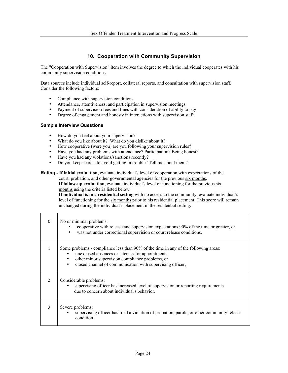# **10. Cooperation with Community Supervision**

The "Cooperation with Supervision" item involves the degree to which the individual cooperates with his community supervision conditions.

Data sources include individual self-report, collateral reports, and consultation with supervision staff. Consider the following factors:

- Compliance with supervision conditions
- Attendance, attentiveness, and participation in supervision meetings
- Payment of supervision fees and fines with consideration of ability to pay<br>• Degree of engagement and honesty in interactions with supervision staff
- Degree of engagement and honesty in interactions with supervision staff

# **Sample Interview Questions**

Г

Т

- How do you feel about your supervision?
- What do you like about it? What do you dislike about it?
- How cooperative (were you) are you following your supervision rules?
- Have you had any problems with attendance? Participation? Being honest?
- Have you had any violations/sanctions recently?
- Do you keep secrets to avoid getting in trouble? Tell me about them?

#### **Rating - If initial evaluation**, evaluate individual's level of cooperation with expectations of the court, probation, and other governmental agencies for the previous six months.

**If follow-up evaluation**, evaluate individual's level of functioning for the previous six months using the criteria listed below.

**If individual is in a residential setting** with no access to the community, evaluate individual's level of functioning for the six months prior to his residential placement. This score will remain unchanged during the individual's placement in the residential setting.

| $\Omega$       | No or minimal problems:<br>cooperative with release and supervision expectations 90% of the time or greater, or<br>was not under correctional supervision or court release conditions.<br>$\bullet$                                                                  |
|----------------|----------------------------------------------------------------------------------------------------------------------------------------------------------------------------------------------------------------------------------------------------------------------|
| 1              | Some problems - compliance less than 90% of the time in any of the following areas:<br>unexcused absences or lateness for appointments,<br>other minor supervision compliance problems, or<br>closed channel of communication with supervising officer.<br>$\bullet$ |
| $\overline{2}$ | Considerable problems:<br>supervising officer has increased level of supervision or reporting requirements<br>due to concern about individual's behavior.                                                                                                            |
| 3              | Severe problems:<br>supervising officer has filed a violation of probation, parole, or other community release<br>$\bullet$<br>condition.                                                                                                                            |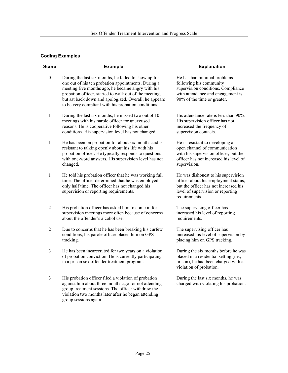| <b>Score</b> | <b>Example</b>                                                                                                                                                                                                                                                                                                                             | <b>Explanation</b>                                                                                                                                                         |
|--------------|--------------------------------------------------------------------------------------------------------------------------------------------------------------------------------------------------------------------------------------------------------------------------------------------------------------------------------------------|----------------------------------------------------------------------------------------------------------------------------------------------------------------------------|
| $\theta$     | During the last six months, he failed to show up for<br>one out of his ten probation appointments. During a<br>meeting five months ago, he became angry with his<br>probation officer, started to walk out of the meeting,<br>but sat back down and apologized. Overall, he appears<br>to be very compliant with his probation conditions. | He has had minimal problems<br>following his community<br>supervision conditions. Compliance<br>with attendance and engagement is<br>90% of the time or greater.           |
| $\mathbf{1}$ | During the last six months, he missed two out of 10<br>meetings with his parole officer for unexcused<br>reasons. He is cooperative following his other<br>conditions. His supervision level has not changed.                                                                                                                              | His attendance rate is less than 90%.<br>His supervision officer has not<br>increased the frequency of<br>supervision contacts.                                            |
| 1            | He has been on probation for about six months and is<br>resistant to talking openly about his life with his<br>probation officer. He typically responds to questions<br>with one-word answers. His supervision level has not<br>changed.                                                                                                   | He is resistant to developing an<br>open channel of communication<br>with his supervision officer, but the<br>officer has not increased his level of<br>supervision.       |
| 1            | He told his probation officer that he was working full<br>time. The officer determined that he was employed<br>only half time. The officer has not changed his<br>supervision or reporting requirements.                                                                                                                                   | He was dishonest to his supervision<br>officer about his employment status,<br>but the officer has not increased his<br>level of supervision or reporting<br>requirements. |
| 2            | His probation officer has asked him to come in for<br>supervision meetings more often because of concerns<br>about the offender's alcohol use.                                                                                                                                                                                             | The supervising officer has<br>increased his level of reporting<br>requirements.                                                                                           |
| 2            | Due to concerns that he has been breaking his curfew<br>conditions, his parole officer placed him on GPS<br>tracking.                                                                                                                                                                                                                      | The supervising officer has<br>increased his level of supervision by<br>placing him on GPS tracking.                                                                       |
| 3            | He has been incarcerated for two years on a violation<br>of probation conviction. He is currently participating<br>in a prison sex offender treatment program.                                                                                                                                                                             | During the six months before he was<br>placed in a residential setting (i.e.,<br>prison), he had been charged with a<br>violation of probation.                            |
| 3            | His probation officer filed a violation of probation<br>against him about three months ago for not attending<br>group treatment sessions. The officer withdrew the<br>violation two months later after he began attending<br>group sessions again.                                                                                         | During the last six months, he was<br>charged with violating his probation.                                                                                                |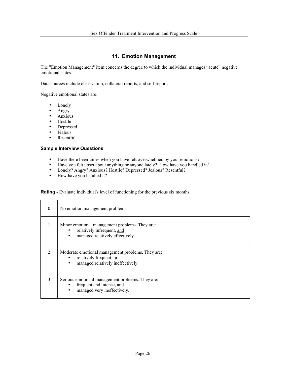# **11. Emotion Management**

The "Emotion Management" item concerns the degree to which the individual manages "acute" negative emotional states.

Data sources include observation, collateral reports, and self-report.

Negative emotional states are:

- Lonely
- Angry
- Anxious
- Hostile<br>• Depress
- Depressed
- Jealous<br>• Pesentf
- Resentful

# **Sample Interview Questions**

- Have there been times when you have felt overwhelmed by your emotions?<br>• Have you felt unset about anything or anyone lately? How have you handle
- Have you felt upset about anything or anyone lately? How have you handled it?<br>• Lonely? Anyo<sup>2</sup> Anxious? Hostile? Depressed? Jealous? Resentful?
- Lonely? Angry? Anxious? Hostile? Depressed? Jealous? Resentful?<br>• How have you handled it?
- How have you handled it?

**Rating** - Evaluate individual's level of functioning for the previous six months.

| $\theta$                    | No emotion management problems.                                                                                                   |
|-----------------------------|-----------------------------------------------------------------------------------------------------------------------------------|
|                             | Minor emotional management problems. They are:<br>relatively infrequent, and<br>٠<br>managed relatively effectively.<br>$\bullet$ |
| $\mathcal{D}_{\mathcal{L}}$ | Moderate emotional management problems. They are:<br>relatively frequent, or<br>managed relatively ineffectively.                 |
| 3                           | Serious emotional management problems. They are:<br>frequent and intense, and<br>managed very ineffectively.<br>٠                 |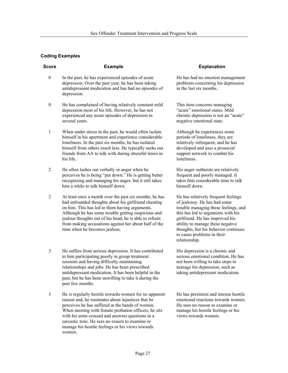| <b>Score</b>     | <b>Example</b>                                                                                                                                                                                                                                                                                                                                                               | <b>Explanation</b>                                                                                                                                                                                                                                                                                              |
|------------------|------------------------------------------------------------------------------------------------------------------------------------------------------------------------------------------------------------------------------------------------------------------------------------------------------------------------------------------------------------------------------|-----------------------------------------------------------------------------------------------------------------------------------------------------------------------------------------------------------------------------------------------------------------------------------------------------------------|
| $\boldsymbol{0}$ | In the past, he has experienced episodes of acute<br>depression. Over the past year, he has been taking<br>antidepressant medication and has had no episodes of<br>depression.                                                                                                                                                                                               | He has had no emotion management<br>problems concerning his depression<br>in the last six months.                                                                                                                                                                                                               |
| $\boldsymbol{0}$ | He has complained of having relatively constant mild<br>depression most of his life. However, he has not<br>experienced any acute episodes of depression in<br>several years.                                                                                                                                                                                                | This item concerns managing<br>"acute" emotional states. Mild<br>chronic depression is not an "acute"<br>negative emotional state.                                                                                                                                                                              |
| $\mathbf{1}$     | When under stress in the past, he would often isolate<br>himself in his apartment and experience considerable<br>loneliness. In the past six months, he has isolated<br>himself from others much less. He typically seeks out<br>friends from AA to talk with during stressful times in<br>his life.                                                                         | Although he experiences some<br>periods of loneliness, they are<br>relatively infrequent, and he has<br>developed and uses a prosocial<br>support network to combat his<br>loneliness.                                                                                                                          |
| 2                | He often lashes out verbally in anger when he<br>perceives he is being "put down." He is getting better<br>recognizing and managing his anger, but it still takes<br>him a while to talk himself down.                                                                                                                                                                       | His anger outbursts are relatively<br>frequent and poorly managed. It<br>takes him considerable time to talk<br>himself down.                                                                                                                                                                                   |
| 2                | At least once a month over the past six months, he has<br>had unfounded thoughts about his girlfriend cheating<br>on him. This has led to them having arguments.<br>Although he has some trouble getting suspicious and<br>jealous thoughts out of his head, he is able to refrain<br>from making accusations against her about half of the<br>time when he becomes jealous. | He has relatively frequent feelings<br>of jealousy. He has had some<br>trouble managing these feelings, and<br>this has led to arguments with his<br>girlfriend. He has improved his<br>ability to manage these negative<br>thoughts, but his behavior continues<br>to cause problems in their<br>relationship. |
| 3                | He suffers from serious depression. It has contributed<br>to him participating poorly in group treatment<br>sessions and having difficulty maintaining<br>relationships and jobs. He has been prescribed<br>antidepressant medication. It has been helpful in the<br>past, but he has been unwilling to take it during the<br>past few months.                               | His depression is a chronic and<br>serious emotional condition. He has<br>not been willing to take steps to<br>manage his depression, such as<br>taking antidepressant medication.                                                                                                                              |
| $\mathfrak{Z}$   | He is regularly hostile towards women for no apparent<br>reason and, he ruminates about injustices that he<br>perceives he has suffered at the hands of women.                                                                                                                                                                                                               | He has persistent and intense hostile<br>emotional reactions towards women.<br>He sees no reason to examine or                                                                                                                                                                                                  |

Page 27

manage his hostile feelings or his

views towards women.

When meeting with female probation officers, he sits with his arms crossed and answers questions in a sarcastic tone. He sees no reason to examine or manage his hostile feelings or his views towards

women.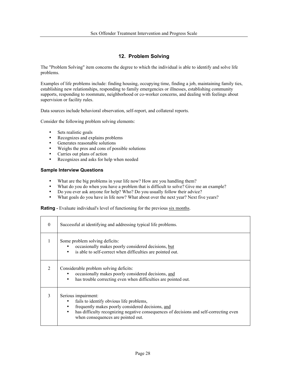# **12. Problem Solving**

The "Problem Solving" item concerns the degree to which the individual is able to identify and solve life problems.

Examples of life problems include: finding housing, occupying time, finding a job, maintaining family ties, establishing new relationships, responding to family emergencies or illnesses, establishing community supports, responding to roommate, neighborhood or co-worker concerns, and dealing with feelings about supervision or facility rules.

Data sources include behavioral observation, self-report, and collateral reports.

Consider the following problem solving elements:

- Sets realistic goals
- Recognizes and explains problems
- Generates reasonable solutions
- Weighs the pros and cons of possible solutions
- Carries out plans of action
- Recognizes and asks for help when needed

#### **Sample Interview Questions**

- What are the big problems in your life now? How are you handling them?<br>• What do you do when you have a problem that is difficult to solve? Give r
- What do you do when you have a problem that is difficult to solve? Give me an example?
- Do you ever ask anyone for help? Who? Do you usually follow their advice?
- What goals do you have in life now? What about over the next year? Next five years?

**Rating** - Evaluate individual's level of functioning for the previous six months.

| $\Omega$                    | Successful at identifying and addressing typical life problems.                                                                                                                                                                                      |
|-----------------------------|------------------------------------------------------------------------------------------------------------------------------------------------------------------------------------------------------------------------------------------------------|
|                             | Some problem solving deficits:<br>occasionally makes poorly considered decisions, but<br>is able to self-correct when difficulties are pointed out.<br>$\bullet$                                                                                     |
| $\mathcal{D}_{\mathcal{L}}$ | Considerable problem solving deficits:<br>occasionally makes poorly considered decisions, and<br>has trouble correcting even when difficulties are pointed out.<br>٠                                                                                 |
| 3                           | Serious impairment:<br>fails to identify obvious life problems,<br>frequently makes poorly considered decisions, and<br>has difficulty recognizing negative consequences of decisions and self-correcting even<br>when consequences are pointed out. |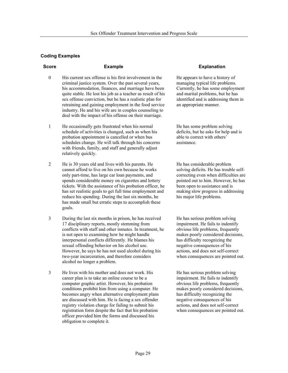- 0 His current sex offense is his first involvement in the criminal justice system. Over the past several years, his accommodation, finances, and marriage have been quite stable. He lost his job as a teacher as result of his sex offense conviction, but he has a realistic plan for retraining and gaining employment in the food service industry. He and his wife are in couples counseling to deal with the impact of his offense on their marriage.
- 1 He occasionally gets frustrated when his normal schedule of activities is changed, such as when his probation appointment is cancelled or when bus schedules change. He will talk through his concerns with friends, family, and staff and generally adjust relatively quickly.
- 2 He is 30 years old and lives with his parents. He cannot afford to live on his own because he works only part-time, has large car loan payments, and spends considerable money on cigarettes and lottery tickets. With the assistance of his probation officer, he has set realistic goals to get full time employment and reduce his spending. During the last six months, he has made small but erratic steps to accomplish these goals.
- 3 During the last six months in prison, he has received 17 disciplinary reports, mostly stemming from conflicts with staff and other inmates. In treatment, he is not open to examining how he might handle interpersonal conflicts differently. He blames his sexual offending behavior on his alcohol use. However, he says he has not used alcohol during his two-year incarceration, and therefore considers alcohol no longer a problem.
- 3 He lives with his mother and does not work. His career plan is to take an online course to be a computer graphic artist. However, his probation conditions prohibit him from using a computer. He becomes angry when alternative employment plans are discussed with him. He is facing a sex offender registry violation charge for failing to submit his registration form despite the fact that his probation officer provided him the forms and discussed his obligation to complete it.

# **Score Example Explanation**

He appears to have a history of managing typical life problems. Currently, he has some employment and marital problems, but he has identified and is addressing them in an appropriate manner.

He has some problem solving deficits, but he asks for help and is able to correct with others' assistance.

He has considerable problem solving deficits. He has trouble selfcorrecting even when difficulties are pointed out to him. However, he has been open to assistance and is making slow progress in addressing his major life problems.

He has serious problem solving impairment. He fails to indentify obvious life problems, frequently makes poorly considered decisions, has difficulty recognizing the negative consequences of his actions, and does not self-correct when consequences are pointed out.

He has serious problem solving impairment. He fails to indentify obvious life problems, frequently makes poorly considered decisions, has difficulty recognizing the negative consequences of his actions, and does not self-correct when consequences are pointed out.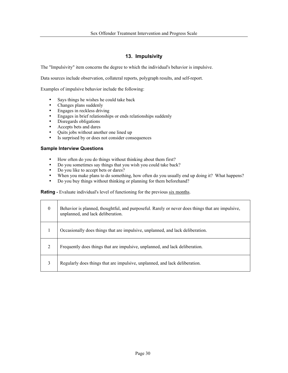# **13. Impulsivity**

The "Impulsivity" item concerns the degree to which the individual's behavior is impulsive.

Data sources include observation, collateral reports, polygraph results, and self-report.

Examples of impulsive behavior include the following:

- Says things he wishes he could take back
- Changes plans suddenly
- Engages in reckless driving
- Engages in brief relationships or ends relationships suddenly<br>• Dispersante obligations
- Disregards obligations<br>• Accents bets and dares
- Accepts bets and dares
- Quits jobs without another one lined up<br>• Is surprised by or does not consider cons
- Is surprised by or does not consider consequences

#### **Sample Interview Questions**

- How often do you do things without thinking about them first?
- Do you sometimes say things that you wish you could take back?
- Do you like to accept bets or dares?
- When you make plans to do something, how often do you usually end up doing it? What happens?<br>• Do you buy things without thinking or planning for them beforehand?
- Do you buy things without thinking or planning for them beforehand?

**Rating** - Evaluate individual's level of functioning for the previous six months.

| $\overline{0}$ | Behavior is planned, thoughtful, and purposeful. Rarely or never does things that are impulsive,<br>unplanned, and lack deliberation. |
|----------------|---------------------------------------------------------------------------------------------------------------------------------------|
|                | Occasionally does things that are impulsive, unplanned, and lack deliberation.                                                        |
| 2              | Frequently does things that are impulsive, unplanned, and lack deliberation.                                                          |
| 3              | Regularly does things that are impulsive, unplanned, and lack deliberation.                                                           |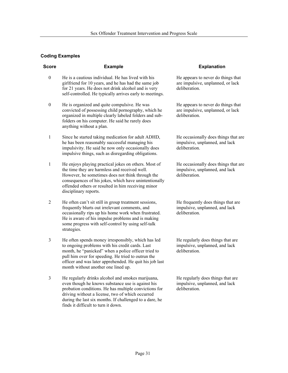| <b>Score</b>     | <b>Example</b>                                                                                                                                                                                                                                                                                                        | <b>Explanation</b>                                                                       |
|------------------|-----------------------------------------------------------------------------------------------------------------------------------------------------------------------------------------------------------------------------------------------------------------------------------------------------------------------|------------------------------------------------------------------------------------------|
| $\boldsymbol{0}$ | He is a cautious individual. He has lived with his<br>girlfriend for 10 years, and he has had the same job<br>for 21 years. He does not drink alcohol and is very<br>self-controlled. He typically arrives early to meetings.                                                                                         | He appears to never do things that<br>are impulsive, unplanned, or lack<br>deliberation. |
| $\boldsymbol{0}$ | He is organized and quite compulsive. He was<br>convicted of possessing child pornography, which he<br>organized in multiple clearly labeled folders and sub-<br>folders on his computer. He said he rarely does<br>anything without a plan.                                                                          | He appears to never do things that<br>are impulsive, unplanned, or lack<br>deliberation. |
| 1                | Since he started taking medication for adult ADHD,<br>he has been reasonably successful managing his<br>impulsivity. He said he now only occasionally does<br>impulsive things, such as disregarding obligations.                                                                                                     | He occasionally does things that are<br>impulsive, unplanned, and lack<br>deliberation.  |
| $\mathbf{1}$     | He enjoys playing practical jokes on others. Most of<br>the time they are harmless and received well.<br>However, he sometimes does not think through the<br>consequences of his jokes, which have unintentionally<br>offended others or resulted in him receiving minor<br>disciplinary reports.                     | He occasionally does things that are<br>impulsive, unplanned, and lack<br>deliberation.  |
| $\overline{2}$   | He often can't sit still in group treatment sessions,<br>frequently blurts out irrelevant comments, and<br>occasionally rips up his home work when frustrated.<br>He is aware of his impulse problems and is making<br>some progress with self-control by using self-talk<br>strategies.                              | He frequently does things that are<br>impulsive, unplanned, and lack<br>deliberation.    |
| 3                | He often spends money irresponsibly, which has led<br>to ongoing problems with his credit cards. Last<br>month, he "panicked" when a police officer tried to<br>pull him over for speeding. He tried to outrun the<br>officer and was later apprehended. He quit his job last<br>month without another one lined up.  | He regularly does things that are<br>impulsive, unplanned, and lack<br>deliberation.     |
| $\mathfrak{Z}$   | He regularly drinks alcohol and smokes marijuana,<br>even though he knows substance use is against his<br>probation conditions. He has multiple convictions for<br>driving without a license, two of which occurred<br>during the last six months. If challenged to a dare, he<br>finds it difficult to turn it down. | He regularly does things that are<br>impulsive, unplanned, and lack<br>deliberation.     |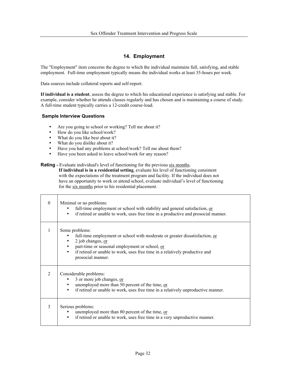# **14. Employment**

The "Employment" item concerns the degree to which the individual maintains full, satisfying, and stable employment. Full-time employment typically means the individual works at least 35-hours per week.

Data sources include collateral reports and self-report.

**If individual is a student**, assess the degree to which his educational experience is satisfying and stable. For example, consider whether he attends classes regularly and has chosen and is maintaining a course of study. A full-time student typically carries a 12-credit course-load.

# **Sample Interview Questions**

- Are you going to school or working? Tell me about it?
- How do you like school/work?
- What do you like best about it?
- What do you dislike about it?
- Have you had any problems at school/work? Tell me about them?
- Have you been asked to leave school/work for any reason?

# **Rating -** Evaluate individual's level of functioning for the previous six months. **If individual is in a residential setting**, evaluate his level of functioning consistent with the expectations of the treatment program and facility. If the individual does not have an opportunity to work or attend school, evaluate individual's level of functioning for the six months prior to his residential placement.

| $\theta$      | Minimal or no problems:<br>full-time employment or school with stability and general satisfaction, or<br>if retired or unable to work, uses free time in a productive and prosocial manner.<br>$\bullet$                                                                 |
|---------------|--------------------------------------------------------------------------------------------------------------------------------------------------------------------------------------------------------------------------------------------------------------------------|
| 1             | Some problems:<br>full-time employment or school with moderate or greater dissatisfaction, or<br>2 job changes, or<br>part-time or seasonal employment or school, or<br>if retired or unable to work, uses free time in a relatively productive and<br>prosocial manner. |
| $\mathcal{D}$ | Considerable problems:<br>3 or more job changes, or<br>unemployed more than 50 percent of the time, or<br>if retired or unable to work, uses free time in a relatively unproductive manner.<br>$\bullet$                                                                 |
| 3             | Serious problems:<br>unemployed more than 80 percent of the time, or<br>if retired or unable to work, uses free time in a very unproductive manner.<br>$\bullet$                                                                                                         |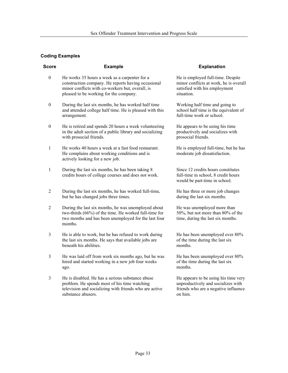| <b>Score</b>     | <b>Example</b>                                                                                                                                                                                    | <b>Explanation</b>                                                                                                            |
|------------------|---------------------------------------------------------------------------------------------------------------------------------------------------------------------------------------------------|-------------------------------------------------------------------------------------------------------------------------------|
| $\boldsymbol{0}$ | He works 35 hours a week as a carpenter for a<br>construction company. He reports having occasional<br>minor conflicts with co-workers but, overall, is<br>pleased to be working for the company. | He is employed full-time. Despite<br>minor conflicts at work, he is overall<br>satisfied with his employment<br>situation.    |
| $\boldsymbol{0}$ | During the last six months, he has worked half time<br>and attended college half time. He is pleased with this<br>arrangement.                                                                    | Working half time and going to<br>school half time is the equivalent of<br>full-time work or school.                          |
| $\boldsymbol{0}$ | He is retired and spends 20 hours a week volunteering<br>in the adult section of a public library and socializing<br>with prosocial friends.                                                      | He appears to be using his time<br>productively and socializes with<br>prosocial friends.                                     |
| 1                | He works 40 hours a week at a fast food restaurant.<br>He complains about working conditions and is<br>actively looking for a new job.                                                            | He is employed full-time, but he has<br>moderate job dissatisfaction.                                                         |
| 1                | During the last six months, he has been taking 8<br>credits hours of college courses and does not work.                                                                                           | Since 12 credits hours constitutes<br>full-time in school, 8 credit hours<br>would be part-time in school.                    |
| 2                | During the last six months, he has worked full-time,<br>but he has changed jobs three times.                                                                                                      | He has three or more job changes<br>during the last six months.                                                               |
| 2                | During the last six months, he was unemployed about<br>two-thirds (66%) of the time. He worked full-time for<br>two months and has been unemployed for the last four<br>months.                   | He was unemployed more than<br>50%, but not more than 80% of the<br>time, during the last six months.                         |
| 3                | He is able to work, but he has refused to work during<br>the last six months. He says that available jobs are<br>beneath his abilities.                                                           | He has been unemployed over 80%<br>of the time during the last six<br>months.                                                 |
| 3                | He was laid off from work six months ago, but he was<br>hired and started working in a new job four weeks<br>ago.                                                                                 | He has been unemployed over 80%<br>of the time during the last six<br>months.                                                 |
| 3                | He is disabled. He has a serious substance abuse<br>problem. He spends most of his time watching<br>television and socializing with friends who are active<br>substance abusers.                  | He appears to be using his time very<br>unproductively and socializes with<br>friends who are a negative influence<br>on him. |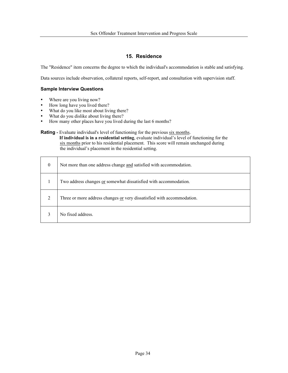# **15. Residence**

The "Residence" item concerns the degree to which the individual's accommodation is stable and satisfying.

Data sources include observation, collateral reports, self-report, and consultation with supervision staff.

# **Sample Interview Questions**

- Where are you living now?
- How long have you lived there?
- What do you like most about living there?
- What do you dislike about living there?
- How many other places have you lived during the last 6 months?

# **Rating -** Evaluate individual's level of functioning for the previous six months.

 **If individual is in a residential setting**, evaluate individual's level of functioning for the six months prior to his residential placement. This score will remain unchanged during the individual's placement in the residential setting.

| $\overline{0}$ | Not more than one address change and satisfied with accommodation.     |
|----------------|------------------------------------------------------------------------|
|                | Two address changes or somewhat dissatisfied with accommodation.       |
| $\overline{2}$ | Three or more address changes or very dissatisfied with accommodation. |
|                | No fixed address.                                                      |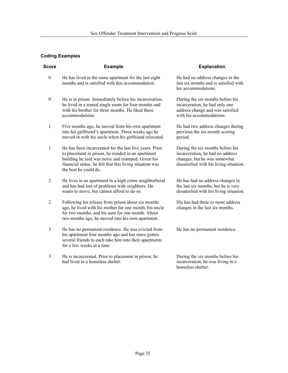| <b>Score</b>            | <b>Example</b>                                                                                                                                                                                                                                          | <b>Explanation</b>                                                                                                                              |
|-------------------------|---------------------------------------------------------------------------------------------------------------------------------------------------------------------------------------------------------------------------------------------------------|-------------------------------------------------------------------------------------------------------------------------------------------------|
| $\boldsymbol{0}$        | He has lived in the same apartment for the last eight<br>months and is satisfied with this accommodation.                                                                                                                                               | He had no address changes in the<br>last six months and is satisfied with<br>his accommodations.                                                |
| $\boldsymbol{0}$        | He is in prison. Immediately before his incarceration,<br>he lived in a rented single room for four months and<br>with his brother for three months. He liked these<br>accommodations.                                                                  | During the six months before his<br>incarceration, he had only one<br>address change and was satisfied<br>with his accommodations.              |
| $\mathbf{1}$            | Five months ago, he moved from his own apartment<br>into his girlfriend's apartment. Three weeks ago he<br>moved in with his uncle when his girlfriend relocated.                                                                                       | He had two address changes during<br>previous the six-month scoring<br>period.                                                                  |
| $\mathbf{1}$            | He has been incarcerated for the last five years. Prior<br>to placement in prison, he resided in an apartment<br>building he said was noisy and cramped. Given his<br>financial status, he felt that this living situation was<br>the best he could do. | During the six months before his<br>incarceration, he had no address<br>changes, but he was somewhat<br>dissatisfied with his living situation. |
| $\overline{2}$          | He lives in an apartment in a high crime neighborhood<br>and has had lots of problems with neighbors. He<br>wants to move, but cannot afford to do so.                                                                                                  | He has had no address changes in<br>the last six months, but he is very<br>dissatisfied with his living situation.                              |
| $\overline{2}$          | Following his release from prison about six months<br>ago, he lived with his mother for one month, his uncle<br>for two months, and his aunt for one month. About<br>two months ago, he moved into his own apartment.                                   | His has had three or more address<br>changes in the last six months.                                                                            |
| $\overline{\mathbf{3}}$ | He has no permanent residence. He was evicted from<br>his apartment four months ago and has since gotten<br>several friends to each take him into their apartments<br>for a few weeks at a time.                                                        | He has no permanent residence.                                                                                                                  |
| 3                       | He is incarcerated. Prior to placement in prison, he<br>had lived in a homeless shelter.                                                                                                                                                                | During the six months before his<br>incarceration, he was living in a<br>homeless shelter.                                                      |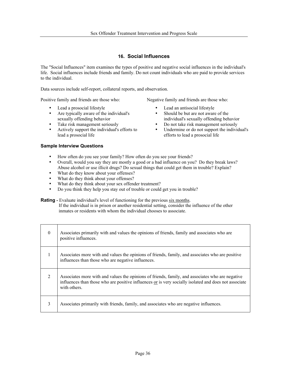# **16. Social Influences**

The "Social Influences" item examines the types of positive and negative social influences in the individual's life. Social influences include friends and family. Do not count individuals who are paid to provide services to the individual.

Data sources include self-report, collateral reports, and observation.

Positive family and friends are those who: Negative family and friends are those who:

- 
- Are typically aware of the individual's sexually offending behavior
- 
- Actively support the individual's efforts to lead a prosocial life

# **Sample Interview Questions**

- How often do you see your family? How often do you see your friends?
- Overall, would you say they are mostly a good or a bad influence on you? Do they break laws? Abuse alcohol or use illicit drugs? Do sexual things that could get them in trouble? Explain?
- What do they know about your offenses?
- What do they think about your offenses?
- What do they think about your sex offender treatment?
- Do you think they help you stay out of trouble or could get you in trouble?

**Rating -** Evaluate individual's level of functioning for the previous six months.

 If the individual is in prison or another residential setting, consider the influence of the other inmates or residents with whom the individual chooses to associate.

| $\mathbf{0}$ | Associates primarily with and values the opinions of friends, family and associates who are<br>positive influences.                                                                                                       |
|--------------|---------------------------------------------------------------------------------------------------------------------------------------------------------------------------------------------------------------------------|
| 1            | Associates more with and values the opinions of friends, family, and associates who are positive<br>influences than those who are negative influences.                                                                    |
| 2            | Associates more with and values the opinions of friends, family, and associates who are negative<br>influences than those who are positive influences or is very socially isolated and does not associate<br>with others. |
| 3            | Associates primarily with friends, family, and associates who are negative influences.                                                                                                                                    |

- Lead a prosocial lifestyle Lead an antisocial lifestyle
	- Should be but are not aware of the individual's sexually offending behavior
- Take risk management seriously Do not take risk management seriously
	- Undermine or do not support the individual's efforts to lead a prosocial life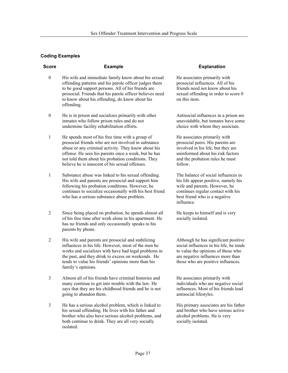| <b>Score</b>     | <b>Example</b>                                                                                                                                                                                                                                                                                                                | <b>Explanation</b>                                                                                                                                                                                |
|------------------|-------------------------------------------------------------------------------------------------------------------------------------------------------------------------------------------------------------------------------------------------------------------------------------------------------------------------------|---------------------------------------------------------------------------------------------------------------------------------------------------------------------------------------------------|
| $\boldsymbol{0}$ | His wife and immediate family know about his sexual<br>offending patterns and his parole officer judges them<br>to be good support persons. All of his friends are<br>prosocial. Friends that his parole officer believes need<br>to know about his offending, do know about his<br>offending.                                | He associates primarily with<br>prosocial influences. All of his<br>friends need not know about his<br>sexual offending in order to score (<br>on this item.                                      |
| $\boldsymbol{0}$ | He is in prison and socializes primarily with other<br>inmates who follow prison rules and do not<br>undermine facility rehabilitation efforts.                                                                                                                                                                               | Antisocial influences in a prison ar<br>unavoidable, but inmates have som<br>choice with whom they associate.                                                                                     |
| 1                | He spends most of his free time with a group of<br>prosocial friends who are not involved in substance<br>abuse or any criminal activity. They know about his<br>offense. He sees his parents once a week, but he has<br>not told them about his probation conditions. They<br>believe he is innocent of his sexual offenses. | He associates primarily with<br>prosocial peers. His parents are<br>involved in his life, but they are<br>uninformed about his risk factors<br>and the probation rules he must<br>follow.         |
| 1                | Substance abuse was linked to his sexual offending.<br>His wife and parents are prosocial and support him<br>following his probation conditions. However, he<br>continues to socialize occasionally with his best friend<br>who has a serious substance abuse problem.                                                        | The balance of social influences in<br>his life appear positive, namely his<br>wife and parents. However, he<br>continues regular contact with his<br>best friend who is a negative<br>influence. |
| 2                | Since being placed on probation, he spends almost all<br>of his free time after work alone in his apartment. He<br>has no friends and only occasionally speaks to his<br>parents by phone.                                                                                                                                    | He keeps to himself and is very<br>socially isolated.                                                                                                                                             |
| $\overline{2}$   | His wife and parents are prosocial and stabilizing<br>influences in his life. However, most of the men he<br>works and socializes with have had legal problems in<br>the past, and they drink to excess on weekends. He<br>tends to value his friends' opinions more than his<br>family's opinions.                           | Although he has significant positiv<br>social influences in his life, he tend<br>to value the opinions of those who<br>are negative influences more than<br>those who are positive influences.    |

- 3 Almost all of his friends have criminal histories and many continue to get into trouble with the law. He says that they are his childhood friends and he is not going to abandon them.
- 3 He has a serious alcohol problem, which is linked to his sexual offending. He lives with his father and brother who also have serious alcohol problems, and both continue to drink. They are all very socially isolated.

Antisocial influences in a prison are unavoidable, but inmates have some

Although he has significant positive social influences in his life, he tends

He associates primarily with individuals who are negative social influences. Most of his friends lead antisocial lifestyles.

His primary associates are his father and brother who have serious active alcohol problems. He is very socially isolated.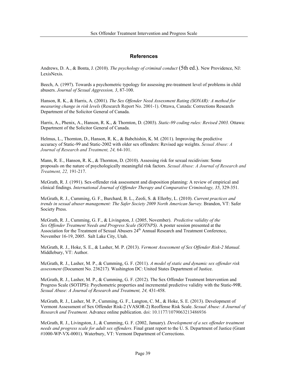# **References**

Andrews, D. A., & Bonta, J. (2010). *The psychology of criminal conduct* (5th ed.). New Providence, NJ: LexisNexis.

Beech, A. (1997). Towards a psychometric typology for assessing pre-treatment level of problems in child abusers. *Journal of Sexual Aggression, 3*, 87-100.

Hanson, R. K., & Harris, A. (2001). *The Sex Offender Need Assessment Rating (SONAR): A method for measuring change in risk levels* (Research Report No. 2001-1). Ottawa, Canada: Corrections Research Department of the Solicitor General of Canada.

Harris, A., Phenix, A., Hanson, R. K., & Thornton, D. (2003). *Static-99 coding rules: Revised 2003.* Ottawa: Department of the Solicitor General of Canada.

Helmus, L., Thornton, D., Hanson, R. K., & Babchishin, K. M. (2011). Improving the predictive accuracy of Static-99 and Static-2002 with older sex offenders: Revised age weights. *Sexual Abuse: A Journal of Research and Treatment, 24,* 64-101.

Mann, R. E., Hanson, R. K., & Thornton, D. (2010). Assessing risk for sexual recidivism: Some proposals on the nature of psychologically meaningful risk factors. *Sexual Abuse: A Journal of Research and Treatment, 22,* 191-217.

McGrath, R. J. (1991). Sex-offender risk assessment and disposition planning: A review of empirical and clinical findings. *International Journal of Offender Therapy and Comparative Criminology, 35*, 329-351.

McGrath, R. J., Cumming, G. F., Burchard, B. L., Zeoli, S. & Ellerby, L. (2010). *Current practices and trends in sexual abuser management: The Safer Society 2009 North American Survey.* Brandon, VT: Safer Society Press.

McGrath, R. J., Cumming, G. F., & Livingston, J. (2005, November). *Predictive validity of the Sex Offender Treatment Needs and Progress Scale (SOTNPS)*. A poster session presented at the Association for the Treatment of Sexual Abusers 24<sup>th</sup> Annual Research and Treatment Conference, November 16-19, 2005. Salt Lake City, Utah.

McGrath, R. J., Hoke, S. E., & Lasher, M. P. (2013). *Vermont Assessment of Sex Offender Risk-2 Manual.*  Middlebury, VT: Author.

McGrath, R. J., Lasher, M. P., & Cumming, G. F. (2011). *A model of static and dynamic sex offender risk assessment* (Document No. 236217)*.* Washington DC: United States Department of Justice.

McGrath, R. J., Lasher, M. P., & Cumming, G. F. (2012). The Sex Offender Treatment Intervention and Progress Scale (SOTIPS): Psychometric properties and incremental predictive validity with the Static-99R. *Sexual Abuse: A Journal of Research and Treatment, 24,* 431-458.

McGrath, R. J., Lasher, M. P., Cumming, G. F., Langton, C. M., & Hoke, S. E. (2013). Development of Vermont Assessment of Sex Offender Risk-2 (VASOR-2) Reoffense Risk Scale. *Sexual Abuse: A Journal of Research and Treatment.* Advance online publication. doi: 10.1177/1079063213486936

McGrath, R. J., Livingston, J., & Cumming, G. F. (2002, January). *Development of a sex offender treatment needs and progress scale for adult sex offenders.* Final grant report to the U. S. Department of Justice (Grant #1000-WP-VX-0001). Waterbury, VT: Vermont Department of Corrections.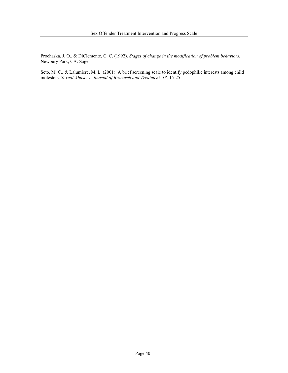Prochaska, J. O., & DiClemente, C. C. (1992). *Stages of change in the modification of problem behaviors.* Newbury Park, CA: Sage.

Seto, M. C., & Lalumiere, M. L. (2001). A brief screening scale to identify pedophilic interests among child molesters. *Sexual Abuse: A Journal of Research and Treatment, 13, 15-25*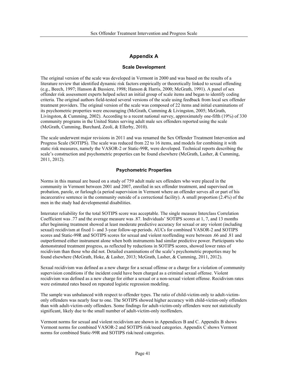# **Appendix A**

#### **Scale Development**

The original version of the scale was developed in Vermont in 2000 and was based on the results of a literature review that identified dynamic risk factors empirically or theoretically linked to sexual offending (e.g., Beech, 1997; Hanson & Bussiere, 1998; Hanson & Harris, 2000; McGrath, 1991). A panel of sex offender risk assessment experts helped select an initial group of scale items and began to identify coding criteria. The original authors field-tested several versions of the scale using feedback from local sex offender treatment providers. The original version of the scale was composed of 22 items and initial examinations of its psychometric properties were encouraging (McGrath, Cumming & Livingston, 2005; McGrath, Livingston, & Cumming, 2002). According to a recent national survey, approximately one-fifth (19%) of 330 community programs in the United States serving adult male sex offenders reported using the scale (McGrath, Cumming, Burchard, Zeoli, & Ellerby, 2010).

The scale underwent major revisions in 2011 and was renamed the Sex Offender Treatment Intervention and Progress Scale (SOTIPS). The scale was reduced from 22 to 16 items, and models for combining it with static risk measures, namely the VASOR-2 or Static-99R, were developed. Technical reports describing the scale's construction and psychometric properties can be found elsewhere (McGrath, Lasher, & Cumming, 2011, 2012).

# **Psychometric Properties**

Norms in this manual are based on a study of 759 adult male sex offenders who were placed in the community in Vermont between 2001 and 2007, enrolled in sex offender treatment, and supervised on probation, parole, or furlough (a period supervision in Vermont where an offender serves all or part of his incarcerative sentence in the community outside of a correctional facility). A small proportion (2.4%) of the men in the study had developmental disabilities.

Interrater reliability for the total SOTIPS score was acceptable. The single measure Interclass Correlation Coefficient was .77 and the average measure was .87. Individuals' SOTIPS scores at 1, 7, and 13 months after beginning treatment showed at least moderate predictive accuracy for sexual or any violent (including sexual) recidivism at fixed 1- and 3-year follow-up periods. AUCs for combined VASOR-2 and SOTIPS scores and Static-99R and SOTIPS scores for sexual and violent reoffending were between .66 and .81 and outperformed either instrument alone when both instruments had similar predictive power. Participants who demonstrated treatment progress, as reflected by reductions in SOTIPS scores, showed lower rates of recidivism than those who did not. Detailed examinations of the scale's psychometric properties may be found elsewhere (McGrath, Hoke, & Lasher, 2013; McGrath, Lasher, & Cumming, 2011, 2012).

Sexual recidivism was defined as a new charge for a sexual offense or a charge for a violation of community supervision conditions if the incident could have been charged as a criminal sexual offense. Violent recidivism was defined as a new charge for either a sexual or a non-sexual violent offense. Recidivism rates were estimated rates based on repeated logistic regression modeling.

The sample was unbalanced with respect to offender types. The ratio of child-victim-only to adult-victimonly offenders was nearly four to one. The SOTIPS showed higher accuracy with child-victim-only offenders than with adult-victim-only offenders. Some findings for adult-victim-only offenders were not statistically significant, likely due to the small number of adult-victim-only reoffenders.

Vermont norms for sexual and violent recidivism are shown in Appendices B and C. Appendix B shows Vermont norms for combined VASOR-2 and SOTIPS risk/need categories. Appendix C shows Vermont norms for combined Static-99R and SOTIPS risk/need categories.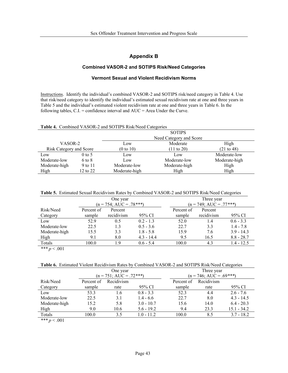# **Appendix B**

# **Combined VASOR-2 and SOTIPS Risk/Need Categories**

# **Vermont Sexual and Violent Recidivism Norms**

Instructions. Identify the individual's combined VASOR-2 and SOTIPS risk/need category in Table 4. Use that risk/need category to identify the individual's estimated sexual recidivism rate at one and three years in Table 5 and the individual's estimated violent recidivism rate at one and three years in Table 6. In the following tables,  $C.I. =$  confidence interval and  $AUC =$  Area Under the Curve.

|  |  | Table 4. Combined VASOR-2 and SOTIPS Risk/Need Categories |  |  |  |
|--|--|-----------------------------------------------------------|--|--|--|
|--|--|-----------------------------------------------------------|--|--|--|

|                                |          | <b>SOTIPS</b>                      |                         |               |  |  |  |  |
|--------------------------------|----------|------------------------------------|-------------------------|---------------|--|--|--|--|
|                                |          |                                    | Need Category and Score |               |  |  |  |  |
| VASOR-2                        |          | Low                                | Moderate                | High          |  |  |  |  |
| <b>Risk Category and Score</b> |          | (0 to 10)<br>$(11 \text{ to } 20)$ |                         | (21 to 48)    |  |  |  |  |
| $0$ to 5<br>Low                |          | Low                                | Low                     | Moderate-low  |  |  |  |  |
| Moderate-low                   | 6 to 8   | Low                                | Moderate-low            | Moderate-high |  |  |  |  |
| Moderate-high                  | 9 to 11  | Moderate-low                       | Moderate-high           | High          |  |  |  |  |
| High                           | 12 to 22 | Moderate-high                      | High                    | High          |  |  |  |  |

|  |  |  |  | Table 5. Estimated Sexual Recidivism Rates by Combined VASOR-2 and SOTIPS Risk/Need Categories |  |
|--|--|--|--|------------------------------------------------------------------------------------------------|--|
|--|--|--|--|------------------------------------------------------------------------------------------------|--|

|               | One year   |                           |              |            | Three year                |              |  |
|---------------|------------|---------------------------|--------------|------------|---------------------------|--------------|--|
|               |            | $(n = 754; AUC = .78***)$ |              |            | $(n = 749; AUC = .77***)$ |              |  |
| Risk/Need     | Percent of | Percent                   |              | Percent of | Percent                   |              |  |
| Category      | sample     | recidivism                | 95% CI       | sample     | recidivism                | 95% CI       |  |
| Low           | 52.9       | 0.5                       | $0.2 - 1.3$  | 52.0       | 1.4                       | $0.6 - 3.3$  |  |
| Moderate-low  | 22.5       | 1.3                       | $0.5 - 3.6$  | 22.7       | 3.3                       | $1.4 - 7.8$  |  |
| Moderate-high | 15.5       | 3.3                       | $1.8 - 5.8$  | 15.9       | 7.6                       | $3.9 - 14.3$ |  |
| High          | 9.1        | 8.0                       | $4.3 - 14.4$ | 9.5        | 16.5                      | $8.8 - 28.7$ |  |
| Totals        | 100.0      | 19                        | $0.6 - 5.4$  | 100.0      | 4.3                       | $1.4 - 12.5$ |  |

*\*\*\* p* < .001

**Table 6.** Estimated Violent Recidivism Rates by Combined VASOR-2 and SOTIPS Risk/Need Categories

|               | One year   |                           |              |            | Three year                |               |  |
|---------------|------------|---------------------------|--------------|------------|---------------------------|---------------|--|
|               |            | $(n = 751; AUC = .72***)$ |              |            | $(n = 746; AUC = .69***)$ |               |  |
| Risk/Need     | Percent of | Recidivism                |              | Percent of | Recidivism                |               |  |
| Category      | sample     | rate                      | 95% CI       | sample     | rate                      | 95% CI        |  |
| Low           | 53.3       | 1.6                       | $0.8 - 3.3$  | 52.3       | 4.4                       | $2.6 - 7.6$   |  |
| Moderate-low  | 22.5       | 3.1                       | $1.4 - 6.6$  | 22.7       | 8.0                       | $4.3 - 14.5$  |  |
| Moderate-high | 15.2       | 5.8                       | $3.0 - 10.7$ | 15.6       | 14.0                      | $6.4 - 20.3$  |  |
| High          | 9.0        | 10.6                      | $5.6 - 19.2$ | 9.4        | 23.3                      | $15.1 - 34.2$ |  |
| Totals        | 100.0      | 3.5                       | $1.0 - 11.2$ | 100.0      | 8.5                       | $3.7 - 18.2$  |  |

*\*\*\* p* < .001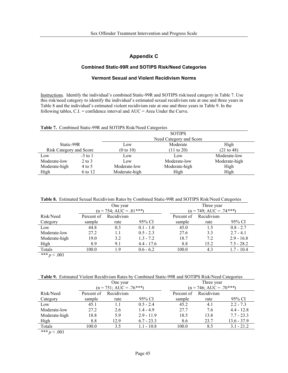# **Appendix C**

# **Combined Static-99R and SOTIPS Risk/Need Categories**

# **Vermont Sexual and Violent Recidivism Norms**

Instructions. Identify the individual's combined Static-99R and SOTIPS risk/need category in Table 7. Use this risk/need category to identify the individual's estimated sexual recidivism rate at one and three years in Table 8 and the individual's estimated violent recidivism rate at one and three years in Table 9. In the following tables, C.I. = confidence interval and AUC = Area Under the Curve.

| Table 7. Combined Static-99R and SOTIPS Risk/Need Categories |  |  |
|--------------------------------------------------------------|--|--|
|                                                              |  |  |

|                         |            | <b>SOTIPS</b> |                                     |               |  |  |  |
|-------------------------|------------|---------------|-------------------------------------|---------------|--|--|--|
|                         |            |               | Need Category and Score             |               |  |  |  |
| Static-99R              |            | Low           | Moderate                            | High          |  |  |  |
| Risk Category and Score |            | (0 to 10)     | (21 to 48)<br>$(11 \text{ to } 20)$ |               |  |  |  |
| Low                     | $-3$ to 1  | Low           | Low                                 | Moderate-low  |  |  |  |
| Moderate-low            | $2$ to $3$ | Low           | Moderate-low                        | Moderate-high |  |  |  |
| Moderate-high           | $4$ to 5   | Moderate-low  | Moderate-high                       | High          |  |  |  |
| High                    | 6 to 12    | Moderate-high | High                                | High          |  |  |  |

|               | One year   |                           |              |            | Three year                |              |  |
|---------------|------------|---------------------------|--------------|------------|---------------------------|--------------|--|
|               |            | $(n = 754; AUC = .81***)$ |              |            | $(n = 749; AUC = .74***)$ |              |  |
| Risk/Need     | Percent of | Recidivism                |              | Percent of | Recidivism                |              |  |
| Category      | sample     | rate                      | 95% CI       | sample     | rate                      | 95% CI       |  |
| Low           | 44.8       | 0.3                       | $0.1 - 1.0$  | 45.0       | 1.5                       | $0.8 - 2.7$  |  |
| Moderate-low  | 27.2       | 1.1                       | $0.5 - 2.3$  | 27.6       | 3.3                       | $2.7 - 4.1$  |  |
| Moderate-high | 19.0       | 3.2                       | $1.3 - 7.2$  | 18.7       | 7.2                       | $2.9 - 16.8$ |  |
| High          | 8.9        | 9.1                       | $4.4 - 17.6$ | 8.8        | 15.2                      | $7.5 - 28.2$ |  |
| Totals        | 100.0      | 19                        | $0.6 - 6.2$  | 100.0      | 4.3                       | $1.7 - 10.4$ |  |

 $*** p < .001$ 

**Table 9.** Estimated Violent Recidivism Rates by Combined Static-99R and SOTIPS Risk/Need Categories

|               | One year   |                           |              |            | Three year                |               |  |
|---------------|------------|---------------------------|--------------|------------|---------------------------|---------------|--|
|               |            | $(n = 751; AUC = .76***)$ |              |            | $(n = 746; AUC = .70***)$ |               |  |
| Risk/Need     | Percent of | Recidivism                |              | Percent of | Recidivism                |               |  |
| Category      | sample     | rate                      | 95% CI       | sample     | rate                      | 95% CI        |  |
| Low           | 45.1       | 1.1                       | $0.5 - 2.4$  | 45.2       | 4.1                       | $2.2 - 7.3$   |  |
| Moderate-low  | 27.2       | 2.6                       | $1.4 - 4.9$  | 27.7       | 7.6                       | $4.4 - 12.8$  |  |
| Moderate-high | 18.8       | 5.9                       | $2.9 - 11.9$ | 18.5       | 13.8                      | $7.7 - 23.3$  |  |
| High          | 8.8        | 12.9                      | $6.7 - 23.3$ | 8.6        | 23.7                      | $13.6 - 37.9$ |  |
| Totals        | 100.0      | 3.5                       | $1.1 - 10.8$ | 100.0      | 8.5                       | $3.1 - 21.2$  |  |

 $*** p < .001$